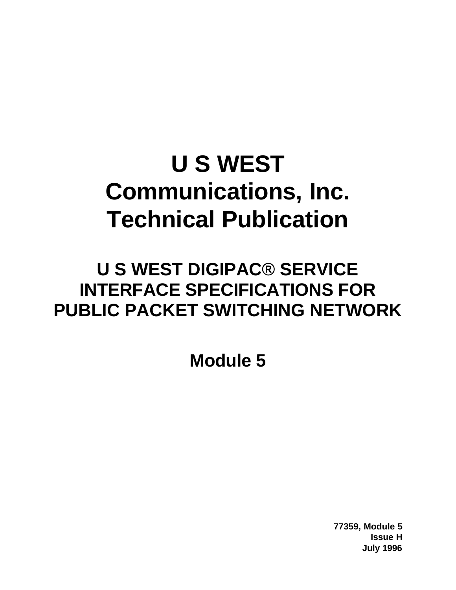## **U S WEST Communications, Inc. Technical Publication**

## **U S WEST DIGIPAC® SERVICE INTERFACE SPECIFICATIONS FOR PUBLIC PACKET SWITCHING NETWORK**

**Module 5**

**77359, Module 5 Issue H July 1996**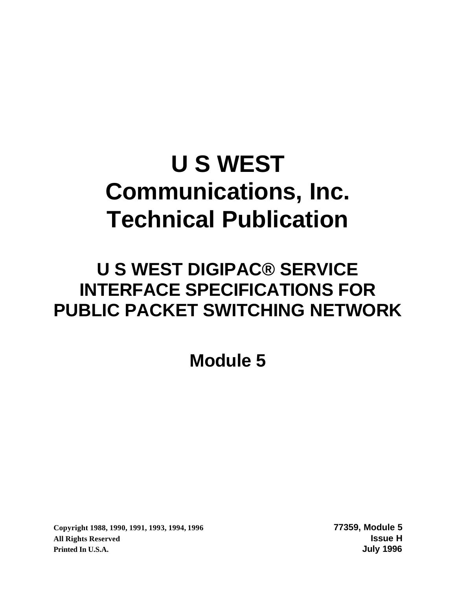## **U S WEST Communications, Inc. Technical Publication**

## **U S WEST DIGIPAC® SERVICE INTERFACE SPECIFICATIONS FOR PUBLIC PACKET SWITCHING NETWORK**

**Module 5**

**Copyright 1988, 1990, 1991, 1993, 1994, 1996 77359, Module 5 All Rights Reserved Issue H Printed In U.S.A. July 1996**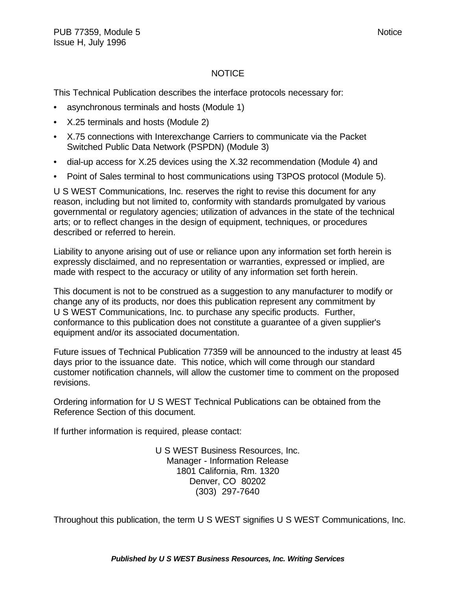#### NOTICE

This Technical Publication describes the interface protocols necessary for:

- asynchronous terminals and hosts (Module 1)
- X.25 terminals and hosts (Module 2)
- X.75 connections with Interexchange Carriers to communicate via the Packet Switched Public Data Network (PSPDN) (Module 3)
- dial-up access for X.25 devices using the X.32 recommendation (Module 4) and
- Point of Sales terminal to host communications using T3POS protocol (Module 5).

U S WEST Communications, Inc. reserves the right to revise this document for any reason, including but not limited to, conformity with standards promulgated by various governmental or regulatory agencies; utilization of advances in the state of the technical arts; or to reflect changes in the design of equipment, techniques, or procedures described or referred to herein.

Liability to anyone arising out of use or reliance upon any information set forth herein is expressly disclaimed, and no representation or warranties, expressed or implied, are made with respect to the accuracy or utility of any information set forth herein.

This document is not to be construed as a suggestion to any manufacturer to modify or change any of its products, nor does this publication represent any commitment by U S WEST Communications, Inc. to purchase any specific products. Further, conformance to this publication does not constitute a guarantee of a given supplier's equipment and/or its associated documentation.

Future issues of Technical Publication 77359 will be announced to the industry at least 45 days prior to the issuance date. This notice, which will come through our standard customer notification channels, will allow the customer time to comment on the proposed revisions.

Ordering information for U S WEST Technical Publications can be obtained from the Reference Section of this document.

If further information is required, please contact:

U S WEST Business Resources, Inc. Manager - Information Release 1801 California, Rm. 1320 Denver, CO 80202 (303) 297-7640

Throughout this publication, the term U S WEST signifies U S WEST Communications, Inc.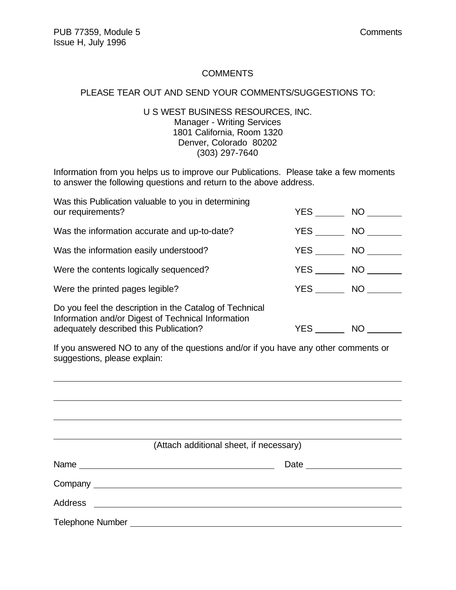#### **COMMENTS**

#### PLEASE TEAR OUT AND SEND YOUR COMMENTS/SUGGESTIONS TO:

#### U S WEST BUSINESS RESOURCES, INC. Manager - Writing Services 1801 California, Room 1320 Denver, Colorado 80202 (303) 297-7640

Information from you helps us to improve our Publications. Please take a few moments to answer the following questions and return to the above address.

| Was this Publication valuable to you in determining<br>our requirements?                                                                                | YES        | NO .      |
|---------------------------------------------------------------------------------------------------------------------------------------------------------|------------|-----------|
| Was the information accurate and up-to-date?                                                                                                            | YES        | NO        |
| Was the information easily understood?                                                                                                                  | YES        | NO.       |
| Were the contents logically sequenced?                                                                                                                  | YES        | NO        |
| Were the printed pages legible?                                                                                                                         | YES        | NO        |
| Do you feel the description in the Catalog of Technical<br>Information and/or Digest of Technical Information<br>adequately described this Publication? | <b>YES</b> | <b>NO</b> |

If you answered NO to any of the questions and/or if you have any other comments or suggestions, please explain:

| (Attach additional sheet, if necessary) |
|-----------------------------------------|
| Date _____________                      |
|                                         |
|                                         |
|                                         |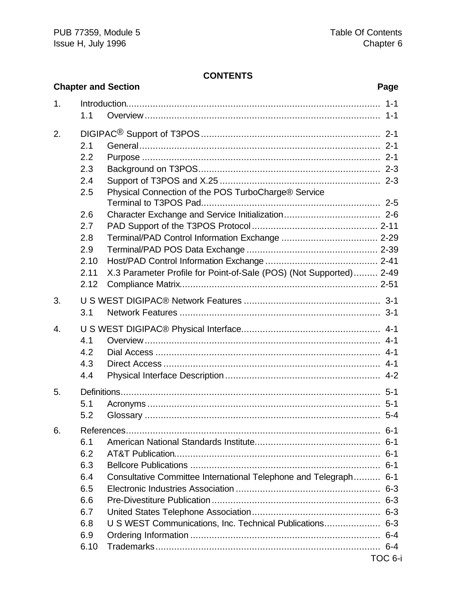#### **CONTENTS**

|    |      | <b>Chapter and Section</b><br>Page                                 |         |
|----|------|--------------------------------------------------------------------|---------|
| 1. |      |                                                                    |         |
|    | 1.1  |                                                                    |         |
| 2. |      |                                                                    |         |
|    | 2.1  |                                                                    |         |
|    | 2.2  |                                                                    |         |
|    | 2.3  |                                                                    |         |
|    | 2.4  |                                                                    |         |
|    | 2.5  | Physical Connection of the POS TurboCharge® Service                |         |
|    | 2.6  |                                                                    |         |
|    | 2.7  |                                                                    |         |
|    | 2.8  |                                                                    |         |
|    | 2.9  |                                                                    |         |
|    | 2.10 |                                                                    |         |
|    | 2.11 | X.3 Parameter Profile for Point-of-Sale (POS) (Not Supported) 2-49 |         |
|    | 2.12 |                                                                    |         |
| 3. |      |                                                                    |         |
|    | 3.1  |                                                                    |         |
| 4. |      |                                                                    |         |
|    | 4.1  |                                                                    |         |
|    | 4.2  |                                                                    |         |
|    | 4.3  |                                                                    |         |
|    | 4.4  |                                                                    |         |
| 5. |      |                                                                    |         |
|    | 5.1  |                                                                    |         |
|    | 5.2  |                                                                    | $5 - 4$ |
| 6. |      |                                                                    |         |
|    | 6.1  |                                                                    |         |
|    | 6.2  |                                                                    |         |
|    | 6.3  |                                                                    |         |
|    | 6.4  | Consultative Committee International Telephone and Telegraph 6-1   |         |
|    | 6.5  |                                                                    |         |
|    | 6.6  |                                                                    |         |
|    | 6.7  |                                                                    |         |
|    | 6.8  | U S WEST Communications, Inc. Technical Publications 6-3           |         |
|    | 6.9  |                                                                    |         |
|    | 6.10 |                                                                    |         |
|    |      | TOC 6-i                                                            |         |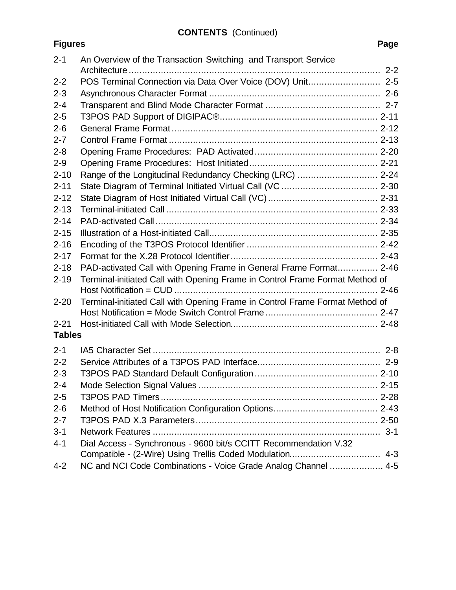### **CONTENTS** (Continued)

**Figures** 

| $2 - 1$       | An Overview of the Transaction Switching and Transport Service               |
|---------------|------------------------------------------------------------------------------|
| $2 - 2$       | POS Terminal Connection via Data Over Voice (DOV) Unit 2-5                   |
| $2 - 3$       |                                                                              |
| $2 - 4$       |                                                                              |
| $2 - 5$       |                                                                              |
| $2 - 6$       |                                                                              |
| $2 - 7$       |                                                                              |
| $2 - 8$       |                                                                              |
| $2 - 9$       |                                                                              |
| $2 - 10$      | Range of the Longitudinal Redundancy Checking (LRC)  2-24                    |
| $2 - 11$      |                                                                              |
| $2 - 12$      |                                                                              |
| $2 - 13$      |                                                                              |
| $2 - 14$      |                                                                              |
| $2 - 15$      |                                                                              |
| $2 - 16$      |                                                                              |
| $2 - 17$      |                                                                              |
| $2 - 18$      | PAD-activated Call with Opening Frame in General Frame Format 2-46           |
| $2 - 19$      | Terminal-initiated Call with Opening Frame in Control Frame Format Method of |
|               |                                                                              |
| $2 - 20$      | Terminal-initiated Call with Opening Frame in Control Frame Format Method of |
|               |                                                                              |
| $2 - 21$      |                                                                              |
| <b>Tables</b> |                                                                              |
| $2 - 1$       |                                                                              |
| $2 - 2$       |                                                                              |
| $2 - 3$       |                                                                              |
| $2 - 4$       |                                                                              |
| $2 - 5$       |                                                                              |
| $2 - 6$       |                                                                              |
| $2 - 7$       |                                                                              |
| $3 - 1$       |                                                                              |
| $4 - 1$       | Dial Access - Synchronous - 9600 bit/s CCITT Recommendation V.32             |
|               |                                                                              |
| $4 - 2$       | NC and NCI Code Combinations - Voice Grade Analog Channel  4-5               |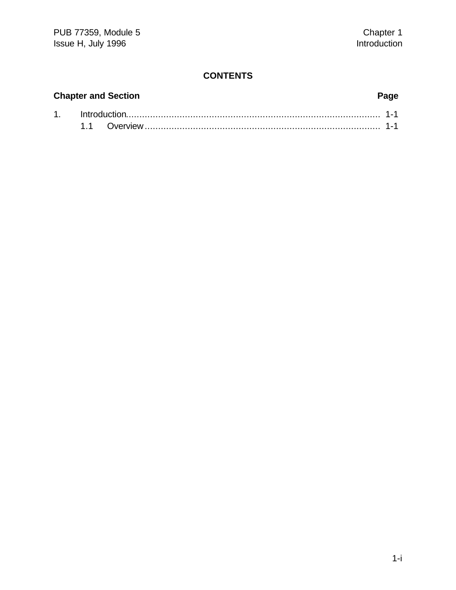#### **CONTENTS**

# **Chapter and Section Page**

#### 1. Introduction............................................................................................... 1-1 1.1 Overview........................................................................................ 1-1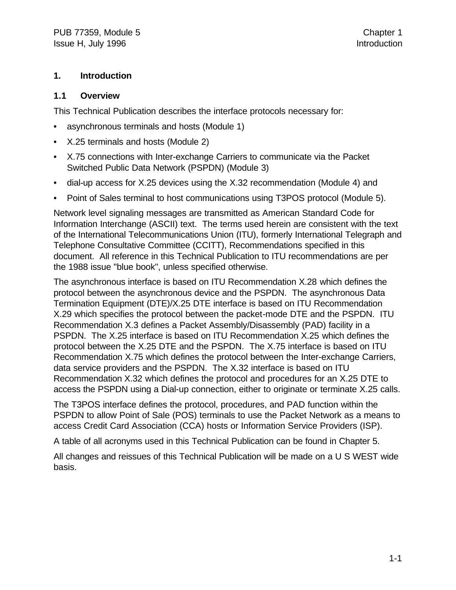#### **1. Introduction**

#### **1.1 Overview**

This Technical Publication describes the interface protocols necessary for:

- asynchronous terminals and hosts (Module 1)
- X.25 terminals and hosts (Module 2)
- X.75 connections with Inter-exchange Carriers to communicate via the Packet Switched Public Data Network (PSPDN) (Module 3)
- dial-up access for X.25 devices using the X.32 recommendation (Module 4) and
- Point of Sales terminal to host communications using T3POS protocol (Module 5).

Network level signaling messages are transmitted as American Standard Code for Information Interchange (ASCII) text. The terms used herein are consistent with the text of the International Telecommunications Union (ITU), formerly International Telegraph and Telephone Consultative Committee (CCITT), Recommendations specified in this document. All reference in this Technical Publication to ITU recommendations are per the 1988 issue "blue book", unless specified otherwise.

The asynchronous interface is based on ITU Recommendation X.28 which defines the protocol between the asynchronous device and the PSPDN. The asynchronous Data Termination Equipment (DTE)/X.25 DTE interface is based on ITU Recommendation X.29 which specifies the protocol between the packet-mode DTE and the PSPDN. ITU Recommendation X.3 defines a Packet Assembly/Disassembly (PAD) facility in a PSPDN. The X.25 interface is based on ITU Recommendation X.25 which defines the protocol between the X.25 DTE and the PSPDN. The X.75 interface is based on ITU Recommendation X.75 which defines the protocol between the Inter-exchange Carriers, data service providers and the PSPDN. The X.32 interface is based on ITU Recommendation X.32 which defines the protocol and procedures for an X.25 DTE to access the PSPDN using a Dial-up connection, either to originate or terminate X.25 calls.

The T3POS interface defines the protocol, procedures, and PAD function within the PSPDN to allow Point of Sale (POS) terminals to use the Packet Network as a means to access Credit Card Association (CCA) hosts or Information Service Providers (ISP).

A table of all acronyms used in this Technical Publication can be found in Chapter 5.

All changes and reissues of this Technical Publication will be made on a U S WEST wide basis.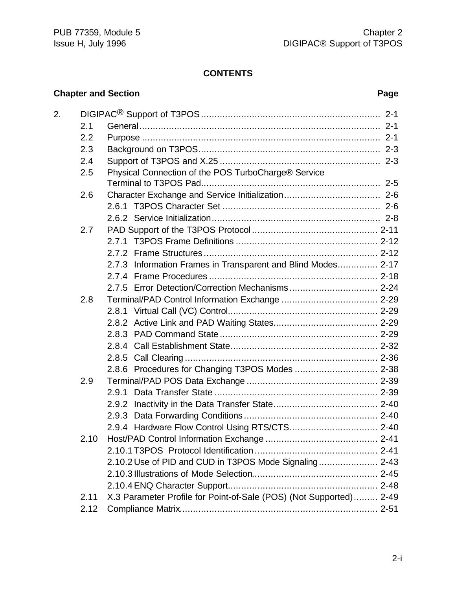#### **CONTENTS**

#### **Chapter and Section Page**

| 2. |      |                                                                    |
|----|------|--------------------------------------------------------------------|
|    | 2.1  |                                                                    |
|    | 2.2  |                                                                    |
|    | 2.3  |                                                                    |
|    | 2.4  |                                                                    |
|    | 2.5  | Physical Connection of the POS TurboCharge® Service                |
|    |      |                                                                    |
|    | 2.6  |                                                                    |
|    |      |                                                                    |
|    |      |                                                                    |
|    | 2.7  |                                                                    |
|    |      |                                                                    |
|    |      |                                                                    |
|    |      | 2.7.3 Information Frames in Transparent and Blind Modes 2-17       |
|    |      |                                                                    |
|    |      |                                                                    |
|    | 2.8  |                                                                    |
|    |      |                                                                    |
|    |      |                                                                    |
|    |      |                                                                    |
|    |      |                                                                    |
|    |      |                                                                    |
|    |      |                                                                    |
|    | 2.9  |                                                                    |
|    |      | 2.9.1                                                              |
|    |      |                                                                    |
|    |      |                                                                    |
|    |      |                                                                    |
|    | 2.10 |                                                                    |
|    |      |                                                                    |
|    |      | 2.10.2 Use of PID and CUD in T3POS Mode Signaling 2-43             |
|    |      |                                                                    |
|    |      |                                                                    |
|    | 2.11 | X.3 Parameter Profile for Point-of-Sale (POS) (Not Supported) 2-49 |
|    | 2.12 |                                                                    |
|    |      |                                                                    |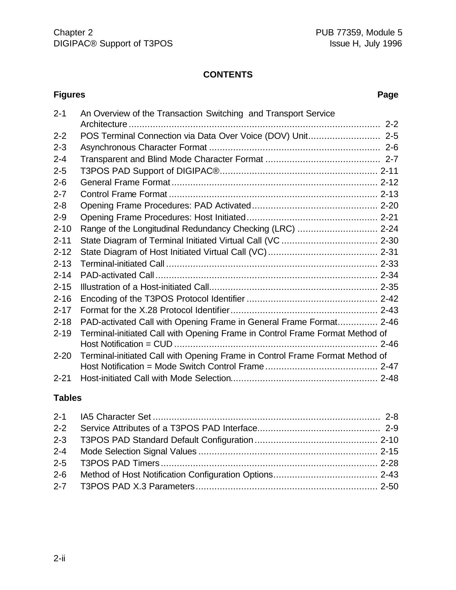#### **CONTENTS**

#### **Figures Page** 2-1 An Overview of the Transaction Switching and Transport Service Architecture .............................................................................................. 2-2 2-2 POS Terminal Connection via Data Over Voice (DOV) Unit........................... 2-5 2-3 Asynchronous Character Format ................................................................ 2-6 2-4 Transparent and Blind Mode Character Format ........................................... 2-7 2-5 T3POS PAD Support of DIGIPAC®........................................................... 2-11 2-6 General Frame Format ............................................................................. 2-12 2-7 Control Frame Format .............................................................................. 2-13 2-8 Opening Frame Procedures: PAD Activated............................................... 2-20 2-9 Opening Frame Procedures: Host Initiated................................................. 2-21 2-10 Range of the Longitudinal Redundancy Checking (LRC) .............................. 2-24 2-11 State Diagram of Terminal Initiated Virtual Call (VC .................................... 2-30 2-12 State Diagram of Host Initiated Virtual Call (VC)......................................... 2-31 2-13 Terminal-initiated Call ............................................................................... 2-33 2-14 PAD-activated Call ................................................................................... 2-34 2-15 Illustration of a Host-initiated Call............................................................... 2-35 2-16 Encoding of the T3POS Protocol Identifier ................................................. 2-42 2-17 Format for the X.28 Protocol Identifier....................................................... 2-43 2-18 PAD-activated Call with Opening Frame in General Frame Format............... 2-46 2-19 Terminal-initiated Call with Opening Frame in Control Frame Format Method of Host Notification = CUD ............................................................................ 2-46 2-20 Terminal-initiated Call with Opening Frame in Control Frame Format Method of Host Notification = Mode Switch Control Frame .......................................... 2-47 2-21 Host-initiated Call with Mode Selection....................................................... 2-48

#### **Tables**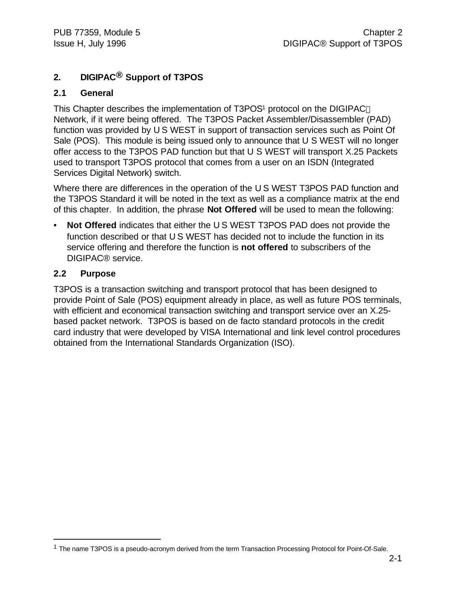#### **2. DIGIPAC® Support of T3POS**

#### **2.1 General**

This Chapter describes the implementation of T3POS<sup>1</sup> protocol on the DIGIPAC<sup>®</sup> Network, if it were being offered. The T3POS Packet Assembler/Disassembler (PAD) function was provided by U S WEST in support of transaction services such as Point Of Sale (POS). This module is being issued only to announce that U S WEST will no longer offer access to the T3POS PAD function but that U S WEST will transport X.25 Packets used to transport T3POS protocol that comes from a user on an ISDN (Integrated Services Digital Network) switch.

Where there are differences in the operation of the U S WEST T3POS PAD function and the T3POS Standard it will be noted in the text as well as a compliance matrix at the end of this chapter. In addition, the phrase **Not Offered** will be used to mean the following:

• **Not Offered** indicates that either the U S WEST T3POS PAD does not provide the function described or that U S WEST has decided not to include the function in its service offering and therefore the function is **not offered** to subscribers of the DIGIPAC® service.

#### **2.2 Purpose**

1

T3POS is a transaction switching and transport protocol that has been designed to provide Point of Sale (POS) equipment already in place, as well as future POS terminals, with efficient and economical transaction switching and transport service over an X.25 based packet network. T3POS is based on de facto standard protocols in the credit card industry that were developed by VISA International and link level control procedures obtained from the International Standards Organization (ISO).

<sup>&</sup>lt;sup>1</sup> The name T3POS is a pseudo-acronym derived from the term Transaction Processing Protocol for Point-Of-Sale.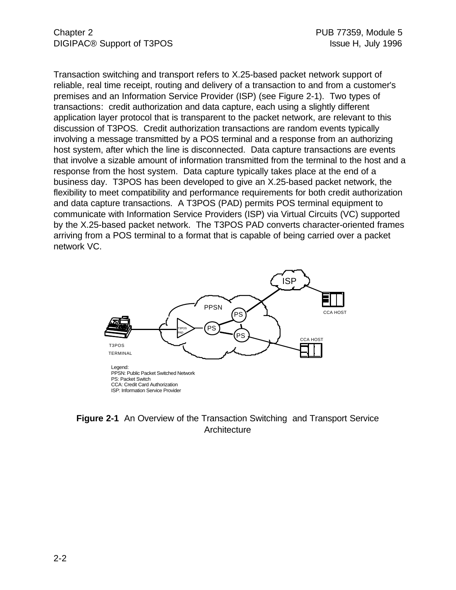Transaction switching and transport refers to X.25-based packet network support of reliable, real time receipt, routing and delivery of a transaction to and from a customer's premises and an Information Service Provider (ISP) (see Figure 2-1). Two types of transactions: credit authorization and data capture, each using a slightly different application layer protocol that is transparent to the packet network, are relevant to this discussion of T3POS. Credit authorization transactions are random events typically involving a message transmitted by a POS terminal and a response from an authorizing host system, after which the line is disconnected. Data capture transactions are events that involve a sizable amount of information transmitted from the terminal to the host and a response from the host system. Data capture typically takes place at the end of a business day. T3POS has been developed to give an X.25-based packet network, the flexibility to meet compatibility and performance requirements for both credit authorization and data capture transactions. A T3POS (PAD) permits POS terminal equipment to communicate with Information Service Providers (ISP) via Virtual Circuits (VC) supported by the X.25-based packet network. The T3POS PAD converts character-oriented frames arriving from a POS terminal to a format that is capable of being carried over a packet network VC.



**Figure 2-1** An Overview of the Transaction Switching and Transport Service **Architecture**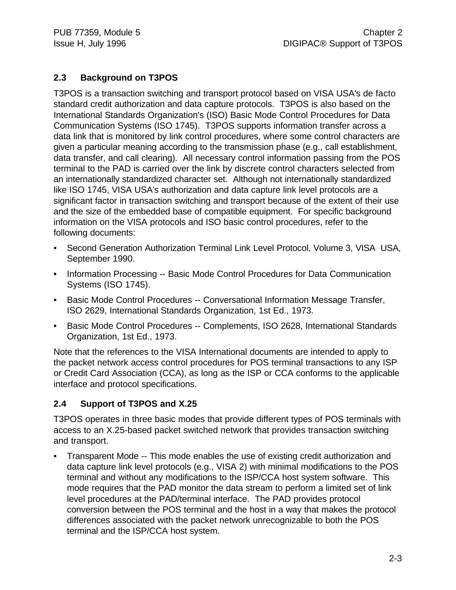#### **2.3 Background on T3POS**

T3POS is a transaction switching and transport protocol based on VISA USA's de facto standard credit authorization and data capture protocols. T3POS is also based on the International Standards Organization's (ISO) Basic Mode Control Procedures for Data Communication Systems (ISO 1745). T3POS supports information transfer across a data link that is monitored by link control procedures, where some control characters are given a particular meaning according to the transmission phase (e.g., call establishment, data transfer, and call clearing). All necessary control information passing from the POS terminal to the PAD is carried over the link by discrete control characters selected from an internationally standardized character set. Although not internationally standardized like ISO 1745, VISA USA's authorization and data capture link level protocols are a significant factor in transaction switching and transport because of the extent of their use and the size of the embedded base of compatible equipment. For specific background information on the VISA protocols and ISO basic control procedures, refer to the following documents:

- Second Generation Authorization Terminal Link Level Protocol, Volume 3, VISA USA, September 1990.
- Information Processing -- Basic Mode Control Procedures for Data Communication Systems (ISO 1745).
- Basic Mode Control Procedures -- Conversational Information Message Transfer, ISO 2629, International Standards Organization, 1st Ed., 1973.
- Basic Mode Control Procedures -- Complements, ISO 2628, International Standards Organization, 1st Ed., 1973.

Note that the references to the VISA International documents are intended to apply to the packet network access control procedures for POS terminal transactions to any ISP or Credit Card Association (CCA), as long as the ISP or CCA conforms to the applicable interface and protocol specifications.

#### **2.4 Support of T3POS and X.25**

T3POS operates in three basic modes that provide different types of POS terminals with access to an X.25-based packet switched network that provides transaction switching and transport.

• Transparent Mode -- This mode enables the use of existing credit authorization and data capture link level protocols (e.g., VISA 2) with minimal modifications to the POS terminal and without any modifications to the ISP/CCA host system software. This mode requires that the PAD monitor the data stream to perform a limited set of link level procedures at the PAD/terminal interface. The PAD provides protocol conversion between the POS terminal and the host in a way that makes the protocol differences associated with the packet network unrecognizable to both the POS terminal and the ISP/CCA host system.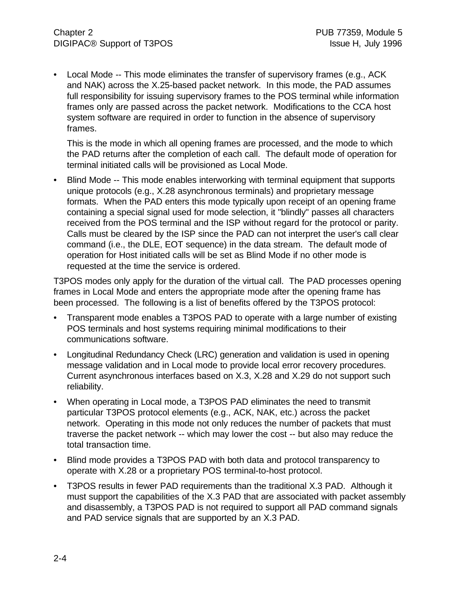• Local Mode -- This mode eliminates the transfer of supervisory frames (e.g., ACK and NAK) across the X.25-based packet network. In this mode, the PAD assumes full responsibility for issuing supervisory frames to the POS terminal while information frames only are passed across the packet network. Modifications to the CCA host system software are required in order to function in the absence of supervisory frames.

This is the mode in which all opening frames are processed, and the mode to which the PAD returns after the completion of each call. The default mode of operation for terminal initiated calls will be provisioned as Local Mode.

• Blind Mode -- This mode enables interworking with terminal equipment that supports unique protocols (e.g., X.28 asynchronous terminals) and proprietary message formats. When the PAD enters this mode typically upon receipt of an opening frame containing a special signal used for mode selection, it "blindly" passes all characters received from the POS terminal and the ISP without regard for the protocol or parity. Calls must be cleared by the ISP since the PAD can not interpret the user's call clear command (i.e., the DLE, EOT sequence) in the data stream. The default mode of operation for Host initiated calls will be set as Blind Mode if no other mode is requested at the time the service is ordered.

T3POS modes only apply for the duration of the virtual call. The PAD processes opening frames in Local Mode and enters the appropriate mode after the opening frame has been processed. The following is a list of benefits offered by the T3POS protocol:

- Transparent mode enables a T3POS PAD to operate with a large number of existing POS terminals and host systems requiring minimal modifications to their communications software.
- Longitudinal Redundancy Check (LRC) generation and validation is used in opening message validation and in Local mode to provide local error recovery procedures. Current asynchronous interfaces based on X.3, X.28 and X.29 do not support such reliability.
- When operating in Local mode, a T3POS PAD eliminates the need to transmit particular T3POS protocol elements (e.g., ACK, NAK, etc.) across the packet network. Operating in this mode not only reduces the number of packets that must traverse the packet network -- which may lower the cost -- but also may reduce the total transaction time.
- Blind mode provides a T3POS PAD with both data and protocol transparency to operate with X.28 or a proprietary POS terminal-to-host protocol.
- T3POS results in fewer PAD requirements than the traditional X.3 PAD. Although it must support the capabilities of the X.3 PAD that are associated with packet assembly and disassembly, a T3POS PAD is not required to support all PAD command signals and PAD service signals that are supported by an X.3 PAD.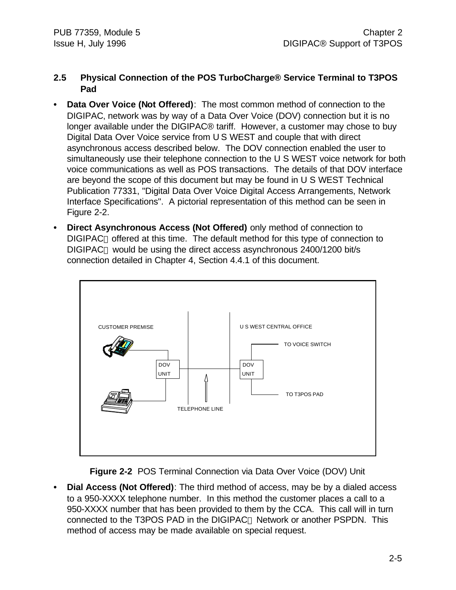#### **2.5 Physical Connection of the POS TurboCharge® Service Terminal to T3POS Pad**

- **• Data Over Voice (Not Offered)**: The most common method of connection to the DIGIPAC' network was by way of a Data Over Voice (DOV) connection but it is no longer available under the DIGIPAC® tariff. However, a customer may chose to buy Digital Data Over Voice service from U S WEST and couple that with direct asynchronous access described below. The DOV connection enabled the user to simultaneously use their telephone connection to the U S WEST voice network for both voice communications as well as POS transactions. The details of that DOV interface are beyond the scope of this document but may be found in U S WEST Technical Publication 77331, "Digital Data Over Voice Digital Access Arrangements, Network Interface Specifications". A pictorial representation of this method can be seen in Figure 2-2.
- **• Direct Asynchronous Access (Not Offered)** only method of connection to DIGIPAC<sup>®</sup> offered at this time. The default method for this type of connection to DIGIPAC<sup>®</sup> would be using the direct access asynchronous 2400/1200 bit/s connection detailed in Chapter 4, Section 4.4.1 of this document.



**Figure 2-2** POS Terminal Connection via Data Over Voice (DOV) Unit

**• Dial Access (Not Offered)**: The third method of access, may be by a dialed access to a 950-XXXX telephone number. In this method the customer places a call to a 950-XXXX number that has been provided to them by the CCA. This call will in turn connected to the T3POS PAD in the DIGIPAC<sup>®</sup> Network or another PSPDN. This method of access may be made available on special request.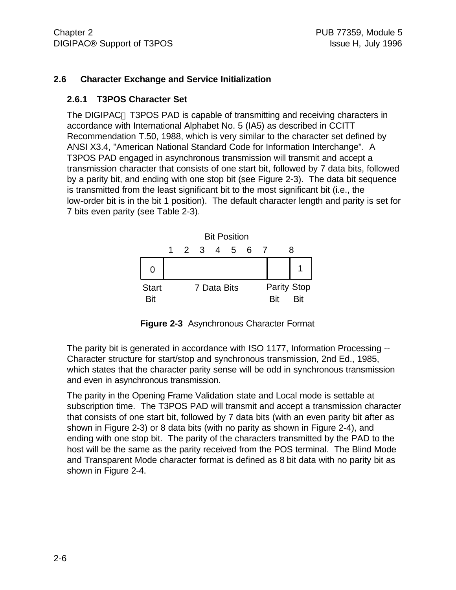#### **2.6 Character Exchange and Service Initialization**

#### **2.6.1 T3POS Character Set**

The DIGIPAC<sup>®</sup> T3POS PAD is capable of transmitting and receiving characters in accordance with International Alphabet No. 5 (IA5) as described in CCITT Recommendation T.50, 1988, which is very similar to the character set defined by ANSI X3.4, "American National Standard Code for Information Interchange". A T3POS PAD engaged in asynchronous transmission will transmit and accept a transmission character that consists of one start bit, followed by 7 data bits, followed by a parity bit, and ending with one stop bit (see Figure 2-3). The data bit sequence is transmitted from the least significant bit to the most significant bit (i.e., the low-order bit is in the bit 1 position). The default character length and parity is set for 7 bits even parity (see Table 2-3).



**Figure 2-3** Asynchronous Character Format

The parity bit is generated in accordance with ISO 1177, Information Processing -- Character structure for start/stop and synchronous transmission, 2nd Ed., 1985, which states that the character parity sense will be odd in synchronous transmission and even in asynchronous transmission.

The parity in the Opening Frame Validation state and Local mode is settable at subscription time. The T3POS PAD will transmit and accept a transmission character that consists of one start bit, followed by 7 data bits (with an even parity bit after as shown in Figure 2-3) or 8 data bits (with no parity as shown in Figure 2-4), and ending with one stop bit. The parity of the characters transmitted by the PAD to the host will be the same as the parity received from the POS terminal. The Blind Mode and Transparent Mode character format is defined as 8 bit data with no parity bit as shown in Figure 2-4.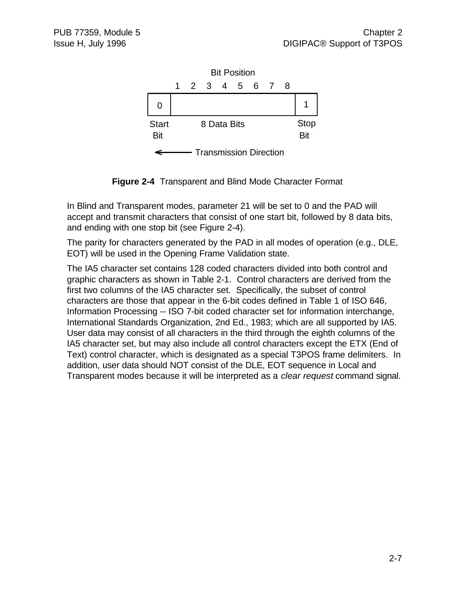

**Figure 2-4** Transparent and Blind Mode Character Format

In Blind and Transparent modes, parameter 21 will be set to 0 and the PAD will accept and transmit characters that consist of one start bit, followed by 8 data bits, and ending with one stop bit (see Figure 2-4).

The parity for characters generated by the PAD in all modes of operation (e.g., DLE, EOT) will be used in the Opening Frame Validation state.

The IA5 character set contains 128 coded characters divided into both control and graphic characters as shown in Table 2-1. Control characters are derived from the first two columns of the IA5 character set. Specifically, the subset of control characters are those that appear in the 6-bit codes defined in Table 1 of ISO 646, Information Processing -- ISO 7-bit coded character set for information interchange, International Standards Organization, 2nd Ed., 1983; which are all supported by IA5. User data may consist of all characters in the third through the eighth columns of the IA5 character set, but may also include all control characters except the ETX (End of Text) control character, which is designated as a special T3POS frame delimiters. In addition, user data should NOT consist of the DLE, EOT sequence in Local and Transparent modes because it will be interpreted as a *clear request* command signal.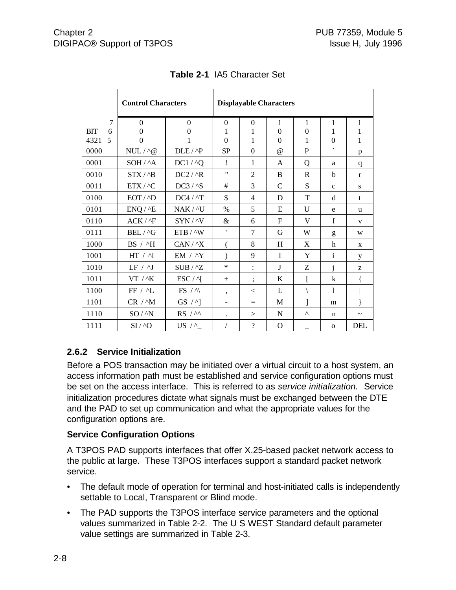|                 | <b>Control Characters</b> |                    | <b>Displayable Characters</b> |                          |                |                |                          |                       |
|-----------------|---------------------------|--------------------|-------------------------------|--------------------------|----------------|----------------|--------------------------|-----------------------|
| 7               | $\Omega$                  | $\Omega$           | $\Omega$                      | $\theta$                 | 1              | 1              | 1                        | 1                     |
| <b>BIT</b><br>6 | $\Omega$                  | $\theta$           | 1                             | 1                        | $\overline{0}$ | $\overline{0}$ | 1                        | 1                     |
| 4321<br>5       | $\Omega$                  |                    | $\theta$                      | 1                        | $\theta$       | 1              | $\overline{0}$           | 1                     |
| 0000            | $NULL / \land @$          | $DLE / \Delta P$   | <b>SP</b>                     | $\boldsymbol{0}$         | $\omega$       | $\mathbf{P}$   | $\overline{\phantom{a}}$ | p                     |
| 0001            | SOH / ^A                  | $DC1 / \Delta Q$   | Ļ                             | 1                        | A              | Q              | a                        | q                     |
| 0010            | STX / <sub>1</sub> B      | $DC2 / ^R$         | 11                            | $\overline{2}$           | B              | $\mathbb{R}$   | b                        | $\mathbf{r}$          |
| 0011            | ETX/^C                    | DC3 / <sub>S</sub> | #                             | 3                        | $\mathsf{C}$   | ${\bf S}$      | $\mathbf c$              | ${\bf S}$             |
| 0100            | EOT / <sub>D</sub>        | $DC4 / \Lambda T$  | \$                            | 4                        | D              | T              | d                        | t                     |
| 0101            | ENQ / 2E                  | NAK / ^U           | $\frac{0}{0}$                 | 5                        | E              | U              | e                        | u                     |
| 0110            | $ACK / \Delta F$          | $SYN / \N$         | &                             | 6                        | F              | V              | $\mathbf f$              | $\mathbf{V}$          |
| 0111            | BEL / ^G                  | ETB / ^W           | ,                             | 7                        | G              | W              | g                        | W                     |
| 1000            | BS / ^H                   | $CAN / ^X$         | (                             | 8                        | H              | X              | h                        | X                     |
| 1001            | HT / M                    | EM / $\Lambda$ Y   |                               | 9                        | I              | Y              | $\mathbf{i}$             | y                     |
| 1010            | LF / 1                    | $SUB / ^zZ$        | $\ast$                        |                          | J              | Ζ              | j                        | Z                     |
| 1011            | $VT$ / $K$                | $ESC / \gamma$     | $+$                           | $\vdots$                 | K              |                | $\bf k$                  |                       |
| 1100            | FF / ^L                   | $FS / \land$       | ,                             | $\,<\,$                  | L              |                | 1                        |                       |
| 1101            | $CR /^M$                  | $GS / \land$ ]     | $\overline{a}$                | $=$                      | M              | 1              | m                        |                       |
| 1110            | SO / N                    | $RS / \sim$        |                               | >                        | N              | Λ              | n                        | $\tilde{\phantom{a}}$ |
| 1111            | $SI / \Delta$             | US $/$ ^           |                               | $\overline{\mathcal{L}}$ | $\mathbf O$    |                | $\mathbf{O}$             | DEL                   |

**Table 2-1** IA5 Character Set

#### **2.6.2 Service Initialization**

Before a POS transaction may be initiated over a virtual circuit to a host system, an access information path must be established and service configuration options must be set on the access interface. This is referred to as *service initialization.* Service initialization procedures dictate what signals must be exchanged between the DTE and the PAD to set up communication and what the appropriate values for the configuration options are.

#### **Service Configuration Options**

A T3POS PAD supports interfaces that offer X.25-based packet network access to the public at large. These T3POS interfaces support a standard packet network service.

- The default mode of operation for terminal and host-initiated calls is independently settable to Local, Transparent or Blind mode.
- The PAD supports the T3POS interface service parameters and the optional values summarized in Table 2-2. The U S WEST Standard default parameter value settings are summarized in Table 2-3.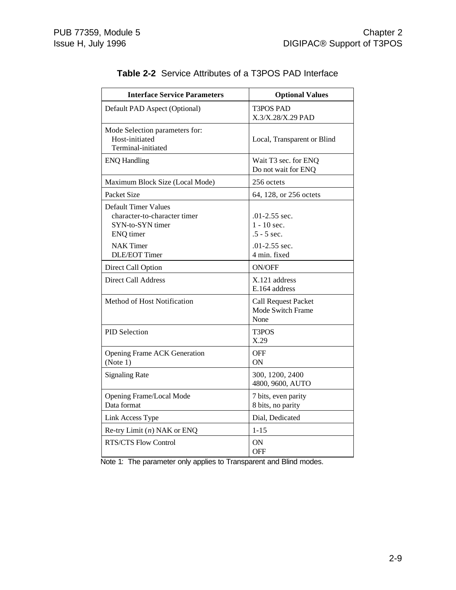| <b>Interface Service Parameters</b>                                                                              | <b>Optional Values</b>                                                 |
|------------------------------------------------------------------------------------------------------------------|------------------------------------------------------------------------|
| Default PAD Aspect (Optional)                                                                                    | <b>T3POS PAD</b><br>X.3/X.28/X.29 PAD                                  |
| Mode Selection parameters for:<br>Host-initiated<br>Terminal-initiated                                           | Local, Transparent or Blind                                            |
| <b>ENQ Handling</b>                                                                                              | Wait T3 sec. for ENQ<br>Do not wait for ENQ                            |
| Maximum Block Size (Local Mode)                                                                                  | 256 octets                                                             |
| Packet Size                                                                                                      | 64, 128, or 256 octets                                                 |
| <b>Default Timer Values</b><br>character-to-character timer<br>SYN-to-SYN timer<br>ENQ timer<br><b>NAK Timer</b> | $.01 - 2.55$ sec.<br>$1 - 10$ sec.<br>$.5 - 5$ sec.<br>$.01-2.55$ sec. |
| <b>DLE/EOT Timer</b>                                                                                             | 4 min. fixed                                                           |
| Direct Call Option                                                                                               | <b>ON/OFF</b>                                                          |
| <b>Direct Call Address</b>                                                                                       | X.121 address<br>E.164 address                                         |
| Method of Host Notification                                                                                      | <b>Call Request Packet</b><br>Mode Switch Frame<br>None                |
| <b>PID Selection</b>                                                                                             | T3POS<br>X.29                                                          |
| <b>Opening Frame ACK Generation</b><br>(Note 1)                                                                  | OFF<br>ON                                                              |
| <b>Signaling Rate</b>                                                                                            | 300, 1200, 2400<br>4800, 9600, AUTO                                    |
| Opening Frame/Local Mode<br>Data format                                                                          | 7 bits, even parity<br>8 bits, no parity                               |
| Link Access Type                                                                                                 | Dial, Dedicated                                                        |
| Re-try Limit $(n)$ NAK or ENQ                                                                                    | $1 - 15$                                                               |
| <b>RTS/CTS Flow Control</b>                                                                                      | ON<br>OFF                                                              |

#### **Table 2-2** Service Attributes of a T3POS PAD Interface

Note 1: The parameter only applies to Transparent and Blind modes.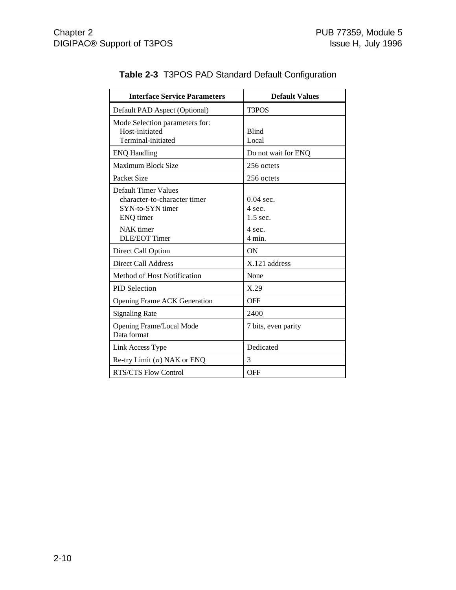| <b>Interface Service Parameters</b>                                                          | <b>Default Values</b>               |
|----------------------------------------------------------------------------------------------|-------------------------------------|
| Default PAD Aspect (Optional)                                                                | T <sub>3</sub> PO <sub>S</sub>      |
| Mode Selection parameters for:<br>Host-initiated<br>Terminal-initiated                       | <b>Blind</b><br>Local               |
| <b>ENQ Handling</b>                                                                          | Do not wait for ENQ                 |
| <b>Maximum Block Size</b>                                                                    | 256 octets                          |
| Packet Size                                                                                  | 256 octets                          |
| <b>Default Timer Values</b><br>character-to-character timer<br>SYN-to-SYN timer<br>ENQ timer | $0.04$ sec.<br>4 sec.<br>$1.5$ sec. |
| NAK timer<br><b>DLE/EOT Timer</b>                                                            | 4 sec.<br>$4$ min.                  |
| Direct Call Option                                                                           | ON                                  |
| Direct Call Address                                                                          | X.121 address                       |
| Method of Host Notification                                                                  | None                                |
| <b>PID Selection</b>                                                                         | X.29                                |
| <b>Opening Frame ACK Generation</b>                                                          | <b>OFF</b>                          |
| <b>Signaling Rate</b>                                                                        | 2400                                |
| Opening Frame/Local Mode<br>Data format                                                      | 7 bits, even parity                 |
| Link Access Type                                                                             | Dedicated                           |
| Re-try Limit $(n)$ NAK or ENQ                                                                | 3                                   |
| RTS/CTS Flow Control                                                                         | <b>OFF</b>                          |

#### **Table 2-3** T3POS PAD Standard Default Configuration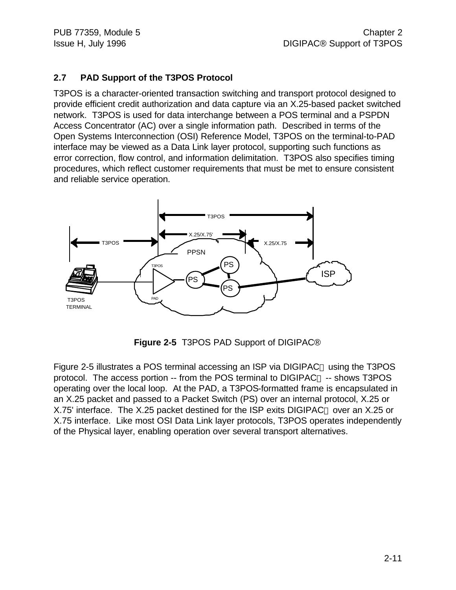#### **2.7 PAD Support of the T3POS Protocol**

T3POS is a character-oriented transaction switching and transport protocol designed to provide efficient credit authorization and data capture via an X.25-based packet switched network. T3POS is used for data interchange between a POS terminal and a PSPDN Access Concentrator (AC) over a single information path. Described in terms of the Open Systems Interconnection (OSI) Reference Model, T3POS on the terminal-to-PAD interface may be viewed as a Data Link layer protocol, supporting such functions as error correction, flow control, and information delimitation. T3POS also specifies timing procedures, which reflect customer requirements that must be met to ensure consistent and reliable service operation.



**Figure 2-5** T3POS PAD Support of DIGIPAC®

Figure 2-5 illustrates a POS terminal accessing an ISP via DIGIPAC<sup>®</sup> using the T3POS protocol. The access portion  $-$  from the POS terminal to DIGIPAC<sup>®</sup>  $-$  shows T3POS operating over the local loop. At the PAD, a T3POS-formatted frame is encapsulated in an X.25 packet and passed to a Packet Switch (PS) over an internal protocol, X.25 or X.75' interface. The X.25 packet destined for the ISP exits DIGIPAC<sup>®</sup> over an X.25 or X.75 interface. Like most OSI Data Link layer protocols, T3POS operates independently of the Physical layer, enabling operation over several transport alternatives.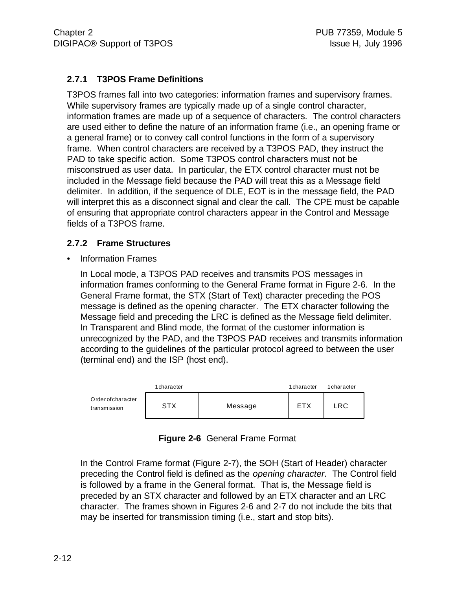#### **2.7.1 T3POS Frame Definitions**

T3POS frames fall into two categories: information frames and supervisory frames. While supervisory frames are typically made up of a single control character, information frames are made up of a sequence of characters. The control characters are used either to define the nature of an information frame (i.e., an opening frame or a general frame) or to convey call control functions in the form of a supervisory frame. When control characters are received by a T3POS PAD, they instruct the PAD to take specific action. Some T3POS control characters must not be misconstrued as user data. In particular, the ETX control character must not be included in the Message field because the PAD will treat this as a Message field delimiter. In addition, if the sequence of DLE, EOT is in the message field, the PAD will interpret this as a disconnect signal and clear the call. The CPE must be capable of ensuring that appropriate control characters appear in the Control and Message fields of a T3POS frame.

#### **2.7.2 Frame Structures**

• Information Frames

In Local mode, a T3POS PAD receives and transmits POS messages in information frames conforming to the General Frame format in Figure 2-6. In the General Frame format, the STX (Start of Text) character preceding the POS message is defined as the opening character. The ETX character following the Message field and preceding the LRC is defined as the Message field delimiter. In Transparent and Blind mode, the format of the customer information is unrecognized by the PAD, and the T3POS PAD receives and transmits information according to the guidelines of the particular protocol agreed to between the user (terminal end) and the ISP (host end).



| Figure 2-6 General Frame Format |  |
|---------------------------------|--|
|                                 |  |

In the Control Frame format (Figure 2-7), the SOH (Start of Header) character preceding the Control field is defined as the *opening character.* The Control field is followed by a frame in the General format. That is, the Message field is preceded by an STX character and followed by an ETX character and an LRC character. The frames shown in Figures 2-6 and 2-7 do not include the bits that may be inserted for transmission timing (i.e., start and stop bits).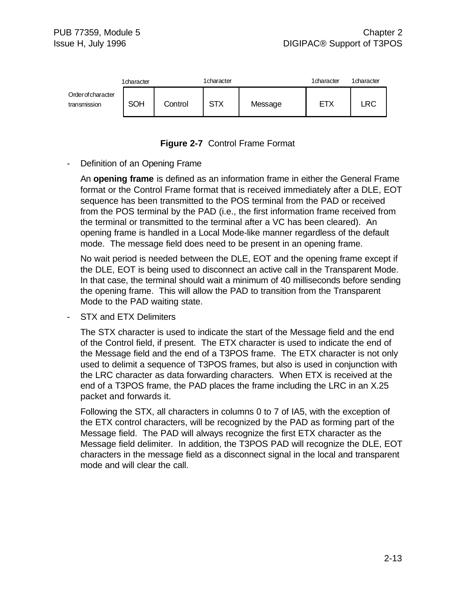



#### Definition of an Opening Frame

An **opening frame** is defined as an information frame in either the General Frame format or the Control Frame format that is received immediately after a DLE, EOT sequence has been transmitted to the POS terminal from the PAD or received from the POS terminal by the PAD (i.e., the first information frame received from the terminal or transmitted to the terminal after a VC has been cleared). An opening frame is handled in a Local Mode-like manner regardless of the default mode. The message field does need to be present in an opening frame.

No wait period is needed between the DLE, EOT and the opening frame except if the DLE, EOT is being used to disconnect an active call in the Transparent Mode. In that case, the terminal should wait a minimum of 40 milliseconds before sending the opening frame. This will allow the PAD to transition from the Transparent Mode to the PAD waiting state.

STX and ETX Delimiters

The STX character is used to indicate the start of the Message field and the end of the Control field, if present. The ETX character is used to indicate the end of the Message field and the end of a T3POS frame. The ETX character is not only used to delimit a sequence of T3POS frames, but also is used in conjunction with the LRC character as data forwarding characters. When ETX is received at the end of a T3POS frame, the PAD places the frame including the LRC in an X.25 packet and forwards it.

Following the STX, all characters in columns 0 to 7 of IA5, with the exception of the ETX control characters, will be recognized by the PAD as forming part of the Message field. The PAD will always recognize the first ETX character as the Message field delimiter. In addition, the T3POS PAD will recognize the DLE, EOT characters in the message field as a disconnect signal in the local and transparent mode and will clear the call.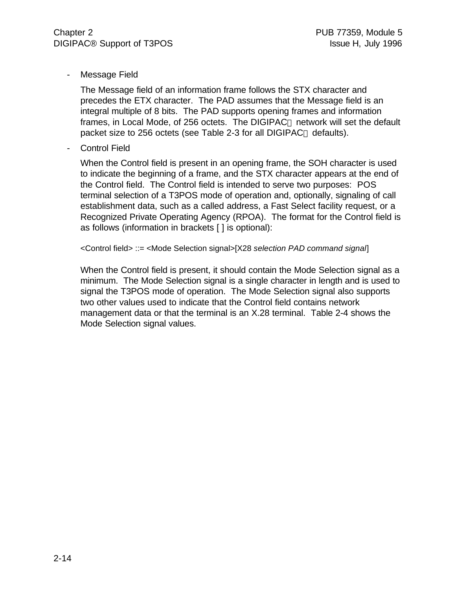- Message Field

The Message field of an information frame follows the STX character and precedes the ETX character. The PAD assumes that the Message field is an integral multiple of 8 bits. The PAD supports opening frames and information frames, in Local Mode, of 256 octets. The DIGIPAC<sup>®</sup> network will set the default packet size to 256 octets (see Table 2-3 for all DIGIPAC<sup>®</sup> defaults).

Control Field

When the Control field is present in an opening frame, the SOH character is used to indicate the beginning of a frame, and the STX character appears at the end of the Control field. The Control field is intended to serve two purposes: POS terminal selection of a T3POS mode of operation and, optionally, signaling of call establishment data, such as a called address, a Fast Select facility request, or a Recognized Private Operating Agency (RPOA). The format for the Control field is as follows (information in brackets [ ] is optional):

<Control field> ::= <Mode Selection signal>[X28 *selection PAD command signal*]

When the Control field is present, it should contain the Mode Selection signal as a minimum. The Mode Selection signal is a single character in length and is used to signal the T3POS mode of operation. The Mode Selection signal also supports two other values used to indicate that the Control field contains network management data or that the terminal is an X.28 terminal. Table 2-4 shows the Mode Selection signal values.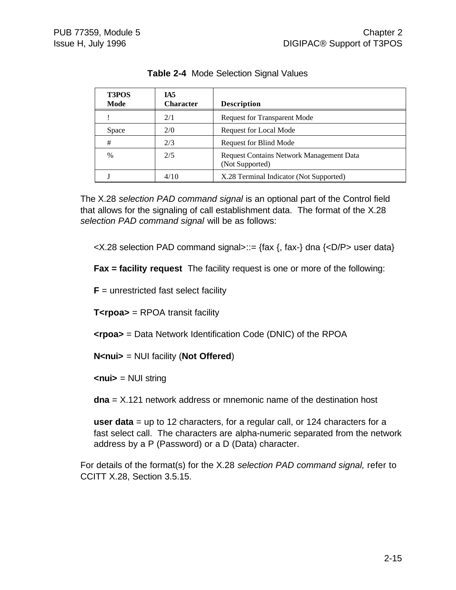| <b>T3POS</b><br>Mode | IA5<br><b>Character</b> | <b>Description</b>                                          |
|----------------------|-------------------------|-------------------------------------------------------------|
|                      | 2/1                     | <b>Request for Transparent Mode</b>                         |
| Space                | 2/0                     | Request for Local Mode                                      |
| #                    | 2/3                     | <b>Request for Blind Mode</b>                               |
| $\frac{0}{0}$        | 2/5                     | Request Contains Network Management Data<br>(Not Supported) |
|                      | 4/10                    | X.28 Terminal Indicator (Not Supported)                     |

**Table 2-4** Mode Selection Signal Values

The X.28 *selection PAD command signal* is an optional part of the Control field that allows for the signaling of call establishment data. The format of the X.28 *selection PAD command signal* will be as follows:

 $\langle X.28 \rangle$  selection PAD command signal>::= {fax {, fax-} dna { $\langle D/P \rangle$  user data}

**Fax = facility request** The facility request is one or more of the following:

 **unrestricted fast select facility** 

**T<rpoa>** = RPOA transit facility

**<rpoa>** = Data Network Identification Code (DNIC) of the RPOA

**N<nui>** = NUI facility (**Not Offered**)

**<nui>** = NUI string

**dna** = X.121 network address or mnemonic name of the destination host

**user data** = up to 12 characters, for a regular call, or 124 characters for a fast select call. The characters are alpha-numeric separated from the network address by a P (Password) or a D (Data) character.

For details of the format(s) for the X.28 *selection PAD command signal,* refer to CCITT X.28, Section 3.5.15.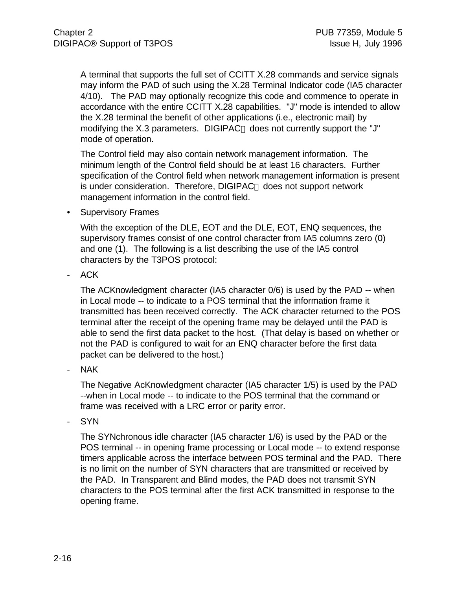A terminal that supports the full set of CCITT X.28 commands and service signals may inform the PAD of such using the X.28 Terminal Indicator code (IA5 character 4/10). The PAD may optionally recognize this code and commence to operate in accordance with the entire CCITT X.28 capabilities. "J" mode is intended to allow the X.28 terminal the benefit of other applications (i.e., electronic mail) by modifying the X.3 parameters. DIGIPAC<sup>®</sup> does not currently support the "J" mode of operation.

The Control field may also contain network management information. The minimum length of the Control field should be at least 16 characters. Further specification of the Control field when network management information is present is under consideration. Therefore,  $DIGIPAC<sub>®</sub>$  does not support network management information in the control field.

• Supervisory Frames

With the exception of the DLE, EOT and the DLE, EOT, ENQ sequences, the supervisory frames consist of one control character from IA5 columns zero (0) and one (1). The following is a list describing the use of the IA5 control characters by the T3POS protocol:

ACK

The ACKnowledgment character (IA5 character 0/6) is used by the PAD -- when in Local mode -- to indicate to a POS terminal that the information frame it transmitted has been received correctly. The ACK character returned to the POS terminal after the receipt of the opening frame may be delayed until the PAD is able to send the first data packet to the host. (That delay is based on whether or not the PAD is configured to wait for an ENQ character before the first data packet can be delivered to the host.)

NAK

The Negative AcKnowledgment character (IA5 character 1/5) is used by the PAD --when in Local mode -- to indicate to the POS terminal that the command or frame was received with a LRC error or parity error.

- SYN

The SYNchronous idle character (IA5 character 1/6) is used by the PAD or the POS terminal -- in opening frame processing or Local mode -- to extend response timers applicable across the interface between POS terminal and the PAD. There is no limit on the number of SYN characters that are transmitted or received by the PAD. In Transparent and Blind modes, the PAD does not transmit SYN characters to the POS terminal after the first ACK transmitted in response to the opening frame.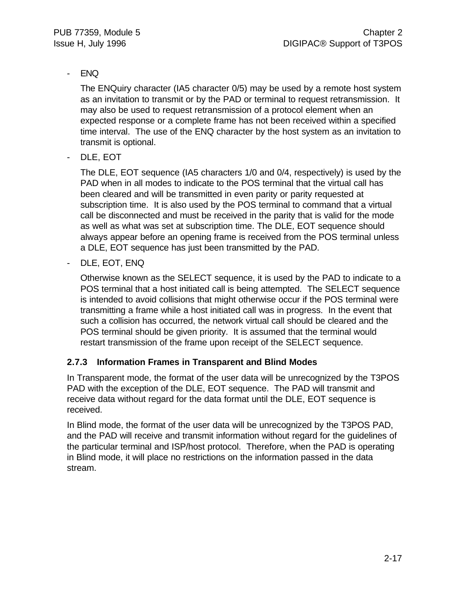#### - ENQ

The ENQuiry character (IA5 character 0/5) may be used by a remote host system as an invitation to transmit or by the PAD or terminal to request retransmission. It may also be used to request retransmission of a protocol element when an expected response or a complete frame has not been received within a specified time interval. The use of the ENQ character by the host system as an invitation to transmit is optional.

DLE, EOT

The DLE, EOT sequence (IA5 characters 1/0 and 0/4, respectively) is used by the PAD when in all modes to indicate to the POS terminal that the virtual call has been cleared and will be transmitted in even parity or parity requested at subscription time. It is also used by the POS terminal to command that a virtual call be disconnected and must be received in the parity that is valid for the mode as well as what was set at subscription time. The DLE, EOT sequence should always appear before an opening frame is received from the POS terminal unless a DLE, EOT sequence has just been transmitted by the PAD.

- DLE, EOT, ENQ

Otherwise known as the SELECT sequence, it is used by the PAD to indicate to a POS terminal that a host initiated call is being attempted. The SELECT sequence is intended to avoid collisions that might otherwise occur if the POS terminal were transmitting a frame while a host initiated call was in progress. In the event that such a collision has occurred, the network virtual call should be cleared and the POS terminal should be given priority. It is assumed that the terminal would restart transmission of the frame upon receipt of the SELECT sequence.

#### **2.7.3 Information Frames in Transparent and Blind Modes**

In Transparent mode, the format of the user data will be unrecognized by the T3POS PAD with the exception of the DLE, EOT sequence. The PAD will transmit and receive data without regard for the data format until the DLE, EOT sequence is received.

In Blind mode, the format of the user data will be unrecognized by the T3POS PAD, and the PAD will receive and transmit information without regard for the guidelines of the particular terminal and ISP/host protocol. Therefore, when the PAD is operating in Blind mode, it will place no restrictions on the information passed in the data stream.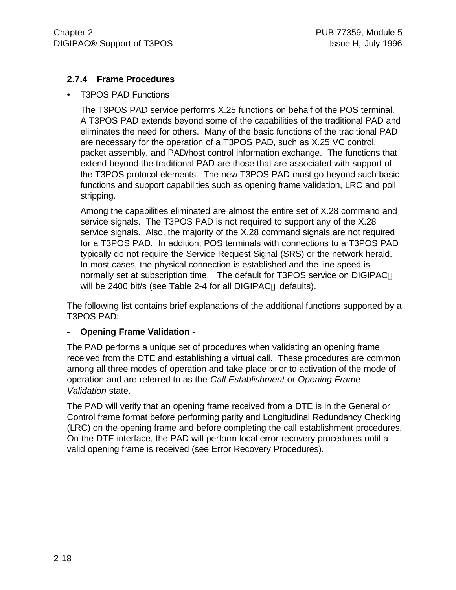#### **2.7.4 Frame Procedures**

• T3POS PAD Functions

The T3POS PAD service performs X.25 functions on behalf of the POS terminal. A T3POS PAD extends beyond some of the capabilities of the traditional PAD and eliminates the need for others. Many of the basic functions of the traditional PAD are necessary for the operation of a T3POS PAD, such as X.25 VC control, packet assembly, and PAD/host control information exchange. The functions that extend beyond the traditional PAD are those that are associated with support of the T3POS protocol elements. The new T3POS PAD must go beyond such basic functions and support capabilities such as opening frame validation, LRC and poll stripping.

Among the capabilities eliminated are almost the entire set of X.28 command and service signals. The T3POS PAD is not required to support any of the X.28 service signals. Also, the majority of the X.28 command signals are not required for a T3POS PAD. In addition, POS terminals with connections to a T3POS PAD typically do not require the Service Request Signal (SRS) or the network herald. In most cases, the physical connection is established and the line speed is normally set at subscription time. The default for T3POS service on DIGIPAC will be 2400 bit/s (see Table 2-4 for all DIGIPAC<sup>®</sup> defaults).

The following list contains brief explanations of the additional functions supported by a T3POS PAD:

#### **- Opening Frame Validation -**

The PAD performs a unique set of procedures when validating an opening frame received from the DTE and establishing a virtual call. These procedures are common among all three modes of operation and take place prior to activation of the mode of operation and are referred to as the *Call Establishment* or *Opening Frame Validation* state.

The PAD will verify that an opening frame received from a DTE is in the General or Control frame format before performing parity and Longitudinal Redundancy Checking (LRC) on the opening frame and before completing the call establishment procedures. On the DTE interface, the PAD will perform local error recovery procedures until a valid opening frame is received (see Error Recovery Procedures).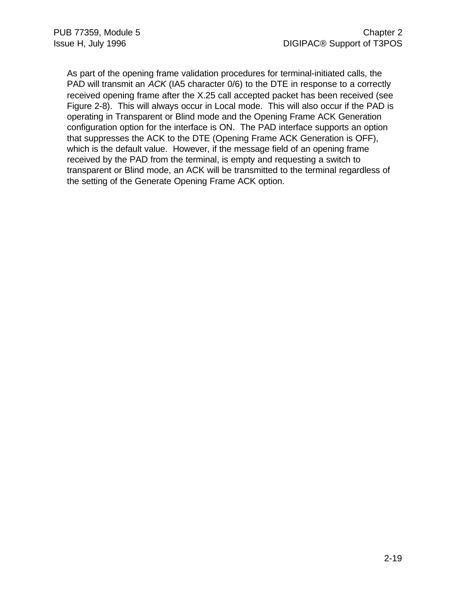As part of the opening frame validation procedures for terminal-initiated calls, the PAD will transmit an *ACK* (IA5 character 0/6) to the DTE in response to a correctly received opening frame after the X.25 call accepted packet has been received (see Figure 2-8). This will always occur in Local mode. This will also occur if the PAD is operating in Transparent or Blind mode and the Opening Frame ACK Generation configuration option for the interface is ON. The PAD interface supports an option that suppresses the ACK to the DTE (Opening Frame ACK Generation is OFF), which is the default value. However, if the message field of an opening frame received by the PAD from the terminal, is empty and requesting a switch to transparent or Blind mode, an ACK will be transmitted to the terminal regardless of the setting of the Generate Opening Frame ACK option.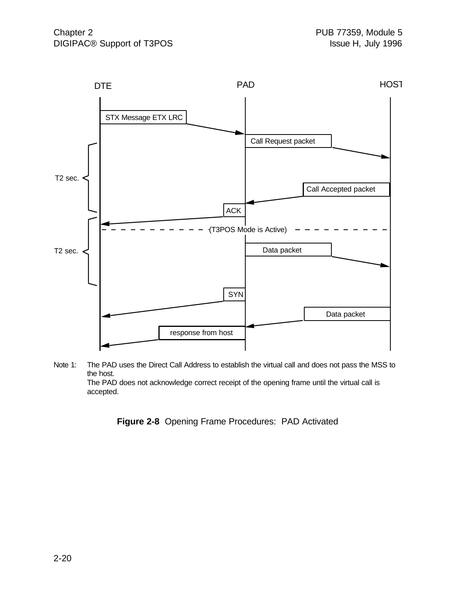

Note 1: The PAD uses the Direct Call Address to establish the virtual call and does not pass the MSS to the host. The PAD does not acknowledge correct receipt of the opening frame until the virtual call is accepted.

**Figure 2-8** Opening Frame Procedures: PAD Activated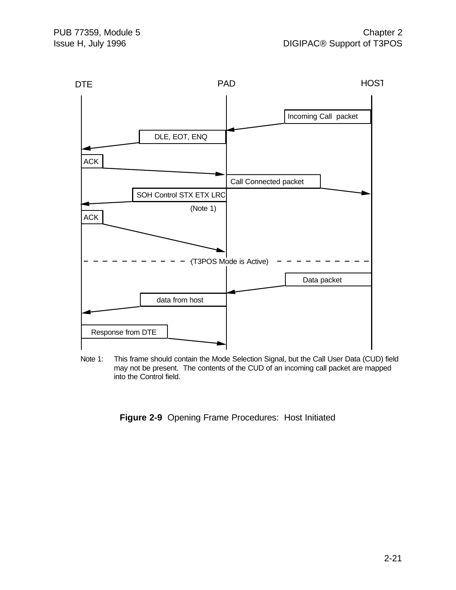

Note 1: This frame should contain the Mode Selection Signal, but the Call User Data (CUD) field may not be present. The contents of the CUD of an incoming call packet are mapped into the Control field.

**Figure 2-9** Opening Frame Procedures: Host Initiated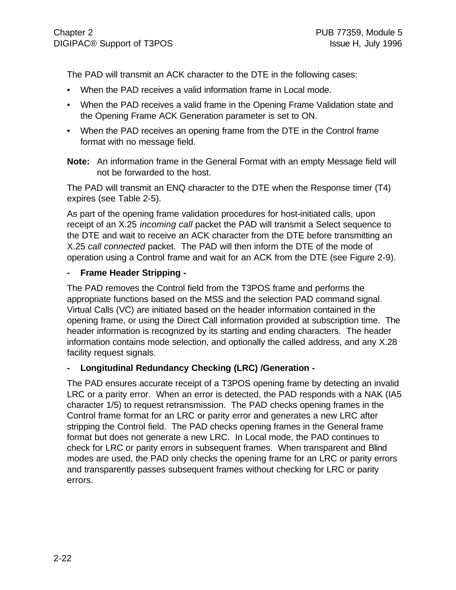The PAD will transmit an ACK character to the DTE in the following cases:

- When the PAD receives a valid information frame in Local mode.
- When the PAD receives a valid frame in the Opening Frame Validation state and the Opening Frame ACK Generation parameter is set to ON.
- When the PAD receives an opening frame from the DTE in the Control frame format with no message field.
- **Note:** An information frame in the General Format with an empty Message field will not be forwarded to the host.

The PAD will transmit an ENQ character to the DTE when the Response timer (T4) expires (see Table 2-5).

As part of the opening frame validation procedures for host-initiated calls, upon receipt of an X.25 *incoming call* packet the PAD will transmit a Select sequence to the DTE and wait to receive an ACK character from the DTE before transmitting an X.25 *call connected* packet. The PAD will then inform the DTE of the mode of operation using a Control frame and wait for an ACK from the DTE (see Figure 2-9).

#### **- Frame Header Stripping -**

The PAD removes the Control field from the T3POS frame and performs the appropriate functions based on the MSS and the selection PAD command signal. Virtual Calls (VC) are initiated based on the header information contained in the opening frame, or using the Direct Call information provided at subscription time. The header information is recognized by its starting and ending characters. The header information contains mode selection, and optionally the called address, and any X.28 facility request signals.

#### **- Longitudinal Redundancy Checking (LRC) /Generation -**

The PAD ensures accurate receipt of a T3POS opening frame by detecting an invalid LRC or a parity error. When an error is detected, the PAD responds with a NAK (IA5 character 1/5) to request retransmission. The PAD checks opening frames in the Control frame format for an LRC or parity error and generates a new LRC after stripping the Control field. The PAD checks opening frames in the General frame format but does not generate a new LRC. In Local mode, the PAD continues to check for LRC or parity errors in subsequent frames. When transparent and Blind modes are used, the PAD only checks the opening frame for an LRC or parity errors and transparently passes subsequent frames without checking for LRC or parity errors.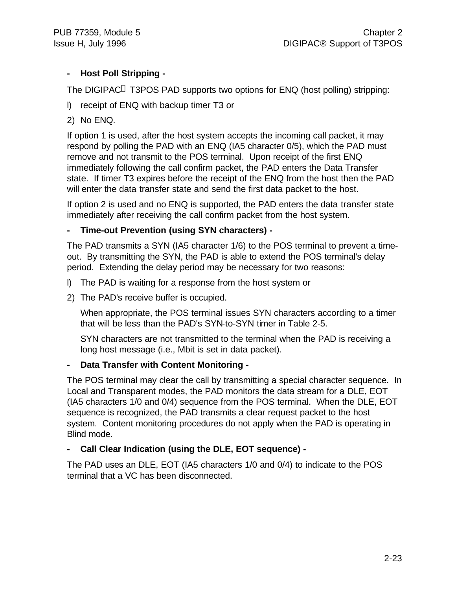#### **- Host Poll Stripping -**

The DIGIPAC<sup>®</sup> T3POS PAD supports two options for ENQ (host polling) stripping:

- l) receipt of ENQ with backup timer T3 or
- 2) No ENQ.

If option 1 is used, after the host system accepts the incoming call packet, it may respond by polling the PAD with an ENQ (IA5 character 0/5), which the PAD must remove and not transmit to the POS terminal. Upon receipt of the first ENQ immediately following the call confirm packet, the PAD enters the Data Transfer state. If timer T3 expires before the receipt of the ENQ from the host then the PAD will enter the data transfer state and send the first data packet to the host.

If option 2 is used and no ENQ is supported, the PAD enters the data transfer state immediately after receiving the call confirm packet from the host system.

#### **- Time-out Prevention (using SYN characters) -**

The PAD transmits a SYN (IA5 character 1/6) to the POS terminal to prevent a timeout. By transmitting the SYN, the PAD is able to extend the POS terminal's delay period. Extending the delay period may be necessary for two reasons:

- l) The PAD is waiting for a response from the host system or
- 2) The PAD's receive buffer is occupied.

When appropriate, the POS terminal issues SYN characters according to a timer that will be less than the PAD's SYN-to-SYN timer in Table 2-5.

SYN characters are not transmitted to the terminal when the PAD is receiving a long host message (i.e., Mbit is set in data packet).

#### **- Data Transfer with Content Monitoring -**

The POS terminal may clear the call by transmitting a special character sequence. In Local and Transparent modes, the PAD monitors the data stream for a DLE, EOT (IA5 characters 1/0 and 0/4) sequence from the POS terminal. When the DLE, EOT sequence is recognized, the PAD transmits a clear request packet to the host system. Content monitoring procedures do not apply when the PAD is operating in Blind mode.

#### **- Call Clear Indication (using the DLE, EOT sequence) -**

The PAD uses an DLE, EOT (IA5 characters 1/0 and 0/4) to indicate to the POS terminal that a VC has been disconnected.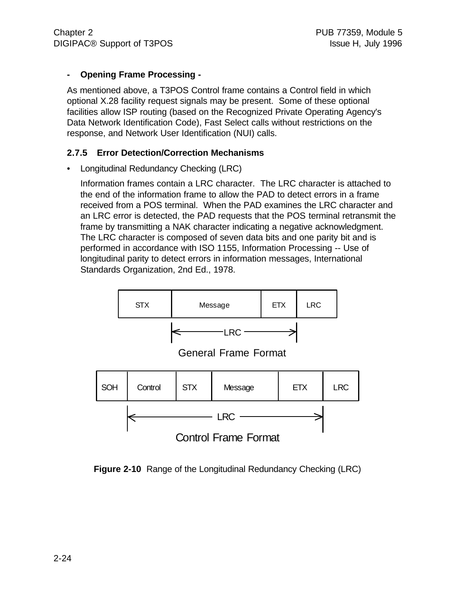#### **- Opening Frame Processing -**

As mentioned above, a T3POS Control frame contains a Control field in which optional X.28 facility request signals may be present. Some of these optional facilities allow ISP routing (based on the Recognized Private Operating Agency's Data Network Identification Code), Fast Select calls without restrictions on the response, and Network User Identification (NUI) calls.

#### **2.7.5 Error Detection/Correction Mechanisms**

• Longitudinal Redundancy Checking (LRC)

Information frames contain a LRC character. The LRC character is attached to the end of the information frame to allow the PAD to detect errors in a frame received from a POS terminal. When the PAD examines the LRC character and an LRC error is detected, the PAD requests that the POS terminal retransmit the frame by transmitting a NAK character indicating a negative acknowledgment. The LRC character is composed of seven data bits and one parity bit and is performed in accordance with ISO 1155, Information Processing -- Use of longitudinal parity to detect errors in information messages, International Standards Organization, 2nd Ed., 1978.



**Figure 2-10** Range of the Longitudinal Redundancy Checking (LRC)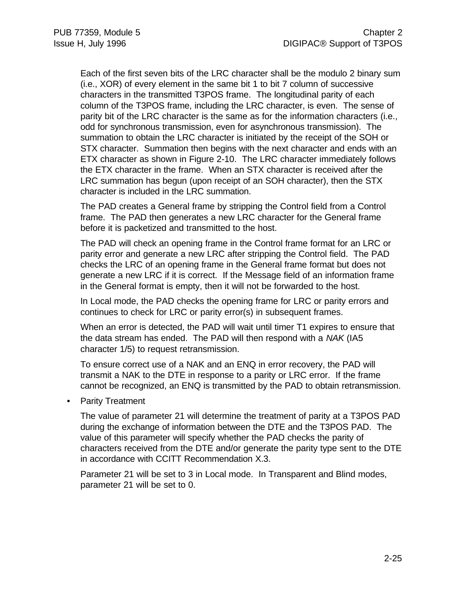Each of the first seven bits of the LRC character shall be the modulo 2 binary sum (i.e., XOR) of every element in the same bit 1 to bit 7 column of successive characters in the transmitted T3POS frame. The longitudinal parity of each column of the T3POS frame, including the LRC character, is even. The sense of parity bit of the LRC character is the same as for the information characters (i.e., odd for synchronous transmission, even for asynchronous transmission). The summation to obtain the LRC character is initiated by the receipt of the SOH or STX character. Summation then begins with the next character and ends with an ETX character as shown in Figure 2-10. The LRC character immediately follows the ETX character in the frame. When an STX character is received after the LRC summation has begun (upon receipt of an SOH character), then the STX character is included in the LRC summation.

The PAD creates a General frame by stripping the Control field from a Control frame. The PAD then generates a new LRC character for the General frame before it is packetized and transmitted to the host.

The PAD will check an opening frame in the Control frame format for an LRC or parity error and generate a new LRC after stripping the Control field. The PAD checks the LRC of an opening frame in the General frame format but does not generate a new LRC if it is correct. If the Message field of an information frame in the General format is empty, then it will not be forwarded to the host.

In Local mode, the PAD checks the opening frame for LRC or parity errors and continues to check for LRC or parity error(s) in subsequent frames.

When an error is detected, the PAD will wait until timer T1 expires to ensure that the data stream has ended. The PAD will then respond with a *NAK* (IA5 character 1/5) to request retransmission.

To ensure correct use of a NAK and an ENQ in error recovery, the PAD will transmit a NAK to the DTE in response to a parity or LRC error. If the frame cannot be recognized, an ENQ is transmitted by the PAD to obtain retransmission.

• Parity Treatment

The value of parameter 21 will determine the treatment of parity at a T3POS PAD during the exchange of information between the DTE and the T3POS PAD. The value of this parameter will specify whether the PAD checks the parity of characters received from the DTE and/or generate the parity type sent to the DTE in accordance with CCITT Recommendation X.3.

Parameter 21 will be set to 3 in Local mode. In Transparent and Blind modes, parameter 21 will be set to 0.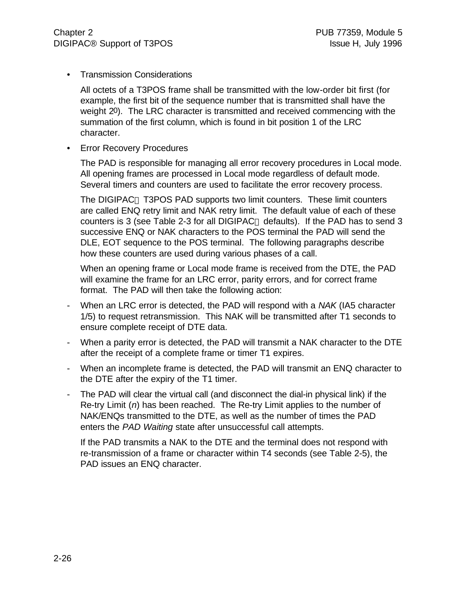• Transmission Considerations

All octets of a T3POS frame shall be transmitted with the low-order bit first (for example, the first bit of the sequence number that is transmitted shall have the weight 20). The LRC character is transmitted and received commencing with the summation of the first column, which is found in bit position 1 of the LRC character.

• Error Recovery Procedures

The PAD is responsible for managing all error recovery procedures in Local mode. All opening frames are processed in Local mode regardless of default mode. Several timers and counters are used to facilitate the error recovery process.

The DIGIPAC<sup>®</sup> T3POS PAD supports two limit counters. These limit counters are called ENQ retry limit and NAK retry limit. The default value of each of these counters is 3 (see Table 2-3 for all DIGIPAC<sup>®</sup> defaults). If the PAD has to send 3 successive ENQ or NAK characters to the POS terminal the PAD will send the DLE, EOT sequence to the POS terminal. The following paragraphs describe how these counters are used during various phases of a call.

When an opening frame or Local mode frame is received from the DTE, the PAD will examine the frame for an LRC error, parity errors, and for correct frame format. The PAD will then take the following action:

- When an LRC error is detected, the PAD will respond with a *NAK* (IA5 character 1/5) to request retransmission. This NAK will be transmitted after T1 seconds to ensure complete receipt of DTE data.
- When a parity error is detected, the PAD will transmit a NAK character to the DTE after the receipt of a complete frame or timer T1 expires.
- When an incomplete frame is detected, the PAD will transmit an ENQ character to the DTE after the expiry of the T1 timer.
- The PAD will clear the virtual call (and disconnect the dial-in physical link) if the Re-try Limit (*n*) has been reached. The Re-try Limit applies to the number of NAK/ENQs transmitted to the DTE, as well as the number of times the PAD enters the *PAD Waiting* state after unsuccessful call attempts.

If the PAD transmits a NAK to the DTE and the terminal does not respond with re-transmission of a frame or character within T4 seconds (see Table 2-5), the PAD issues an ENQ character.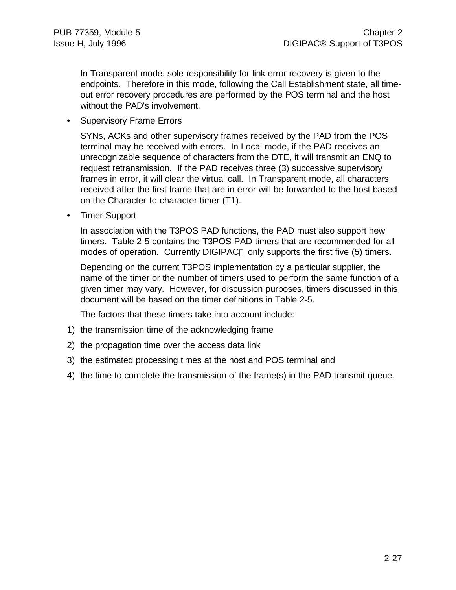In Transparent mode, sole responsibility for link error recovery is given to the endpoints. Therefore in this mode, following the Call Establishment state, all timeout error recovery procedures are performed by the POS terminal and the host without the PAD's involvement.

• Supervisory Frame Errors

SYNs, ACKs and other supervisory frames received by the PAD from the POS terminal may be received with errors. In Local mode, if the PAD receives an unrecognizable sequence of characters from the DTE, it will transmit an ENQ to request retransmission. If the PAD receives three (3) successive supervisory frames in error, it will clear the virtual call. In Transparent mode, all characters received after the first frame that are in error will be forwarded to the host based on the Character-to-character timer (T1).

• Timer Support

In association with the T3POS PAD functions, the PAD must also support new timers. Table 2-5 contains the T3POS PAD timers that are recommended for all modes of operation. Currently DIGIPAC<sup>®</sup> only supports the first five (5) timers.

Depending on the current T3POS implementation by a particular supplier, the name of the timer or the number of timers used to perform the same function of a given timer may vary. However, for discussion purposes, timers discussed in this document will be based on the timer definitions in Table 2-5.

The factors that these timers take into account include:

- 1) the transmission time of the acknowledging frame
- 2) the propagation time over the access data link
- 3) the estimated processing times at the host and POS terminal and
- 4) the time to complete the transmission of the frame(s) in the PAD transmit queue.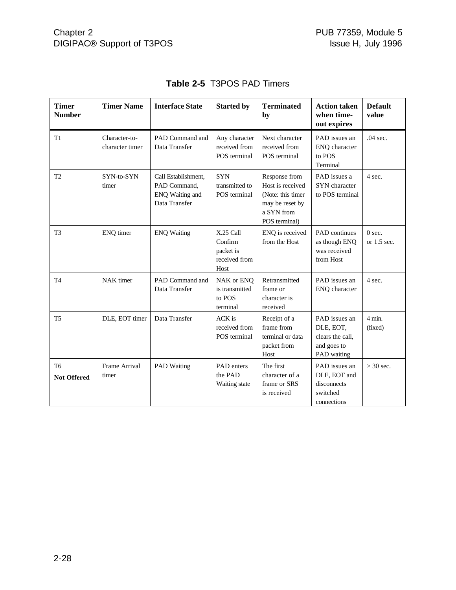| <b>Timer</b><br><b>Number</b>        | <b>Timer Name</b>                | <b>Interface State</b>                                                  | <b>Started by</b>                                          | <b>Terminated</b><br>by                                                                                  | <b>Action taken</b><br>when time-<br>out expires                             | <b>Default</b><br>value     |
|--------------------------------------|----------------------------------|-------------------------------------------------------------------------|------------------------------------------------------------|----------------------------------------------------------------------------------------------------------|------------------------------------------------------------------------------|-----------------------------|
| T1                                   | Character-to-<br>character timer | PAD Command and<br>Data Transfer                                        | Any character<br>received from<br>POS terminal             | Next character<br>received from<br>POS terminal                                                          | PAD issues an<br>ENQ character<br>to POS<br>Terminal                         | $.04$ sec.                  |
| T <sub>2</sub>                       | SYN-to-SYN<br>timer              | Call Establishment,<br>PAD Command,<br>ENQ Waiting and<br>Data Transfer | <b>SYN</b><br>transmitted to<br>POS terminal               | Response from<br>Host is received<br>(Note: this timer<br>may be reset by<br>a SYN from<br>POS terminal) | PAD issues a<br>SYN character<br>to POS terminal                             | 4 sec.                      |
| T <sub>3</sub>                       | ENQ timer                        | <b>ENQ Waiting</b>                                                      | X.25 Call<br>Confirm<br>packet is<br>received from<br>Host | ENQ is received<br>from the Host                                                                         | <b>PAD</b> continues<br>as though ENQ<br>was received<br>from Host           | $0$ sec.<br>or $1.5$ sec.   |
| T <sub>4</sub>                       | NAK timer                        | PAD Command and<br>Data Transfer                                        | NAK or ENQ<br>is transmitted<br>to POS<br>terminal         | Retransmitted<br>frame or<br>character is<br>received                                                    | PAD issues an<br>ENQ character                                               | 4 sec.                      |
| T <sub>5</sub>                       | DLE, EOT timer                   | Data Transfer                                                           | ACK is<br>received from<br>POS terminal                    | Receipt of a<br>frame from<br>terminal or data<br>packet from<br>Host                                    | PAD issues an<br>DLE, EOT,<br>clears the call,<br>and goes to<br>PAD waiting | $4 \text{ min.}$<br>(fixed) |
| T <sub>6</sub><br><b>Not Offered</b> | Frame Arrival<br>timer           | <b>PAD Waiting</b>                                                      | PAD enters<br>the PAD<br>Waiting state                     | The first<br>character of a<br>frame or SRS<br>is received                                               | PAD issues an<br>DLE, EOT and<br>disconnects<br>switched<br>connections      | $>$ 30 sec.                 |

### **Table 2-5** T3POS PAD Timers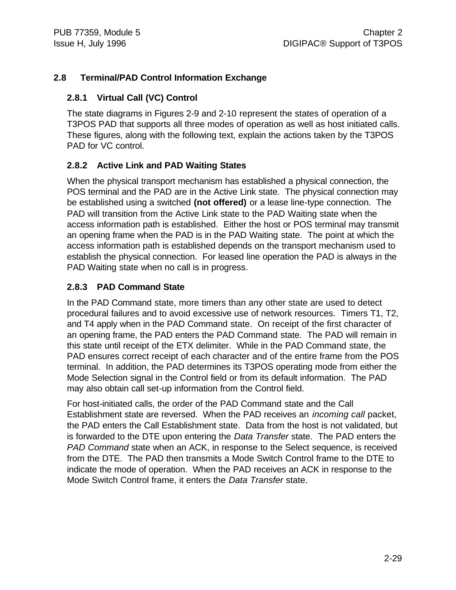### **2.8 Terminal/PAD Control Information Exchange**

#### **2.8.1 Virtual Call (VC) Control**

The state diagrams in Figures 2-9 and 2-10 represent the states of operation of a T3POS PAD that supports all three modes of operation as well as host initiated calls. These figures, along with the following text, explain the actions taken by the T3POS PAD for VC control.

#### **2.8.2 Active Link and PAD Waiting States**

When the physical transport mechanism has established a physical connection, the POS terminal and the PAD are in the Active Link state. The physical connection may be established using a switched **(not offered)** or a lease line-type connection. The PAD will transition from the Active Link state to the PAD Waiting state when the access information path is established. Either the host or POS terminal may transmit an opening frame when the PAD is in the PAD Waiting state. The point at which the access information path is established depends on the transport mechanism used to establish the physical connection. For leased line operation the PAD is always in the PAD Waiting state when no call is in progress.

#### **2.8.3 PAD Command State**

In the PAD Command state, more timers than any other state are used to detect procedural failures and to avoid excessive use of network resources. Timers T1, T2, and T4 apply when in the PAD Command state. On receipt of the first character of an opening frame, the PAD enters the PAD Command state. The PAD will remain in this state until receipt of the ETX delimiter. While in the PAD Command state, the PAD ensures correct receipt of each character and of the entire frame from the POS terminal. In addition, the PAD determines its T3POS operating mode from either the Mode Selection signal in the Control field or from its default information. The PAD may also obtain call set-up information from the Control field.

For host-initiated calls, the order of the PAD Command state and the Call Establishment state are reversed. When the PAD receives an *incoming call* packet, the PAD enters the Call Establishment state. Data from the host is not validated, but is forwarded to the DTE upon entering the *Data Transfer* state. The PAD enters the *PAD Command* state when an ACK, in response to the Select sequence, is received from the DTE. The PAD then transmits a Mode Switch Control frame to the DTE to indicate the mode of operation. When the PAD receives an ACK in response to the Mode Switch Control frame, it enters the *Data Transfer* state.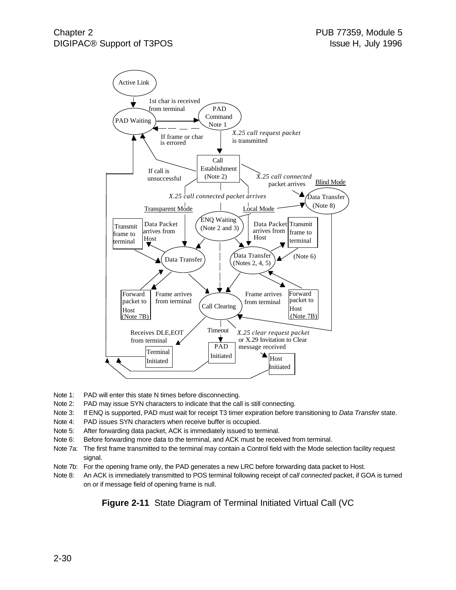

- Note 1: PAD will enter this state N times before disconnecting.
- Note 2: PAD may issue SYN characters to indicate that the call is still connecting.
- Note 3: If ENQ is supported, PAD must wait for receipt T3 timer expiration before transitioning to *Data Transfer* state.
- Note 4: PAD issues SYN characters when receive buffer is occupied.
- Note 5: After forwarding data packet, ACK is immediately issued to terminal.
- Note 6: Before forwarding more data to the terminal, and ACK must be received from terminal.
- Note 7a: The first frame transmitted to the terminal may contain a Control field with the Mode selection facility request signal.
- Note 7b: For the opening frame only, the PAD generates a new LRC before forwarding data packet to Host.
- Note 8: An ACK is immediately transmitted to POS terminal following receipt of *call connected* packet, if GOA is turned on or if message field of opening frame is null.

**Figure 2-11** State Diagram of Terminal Initiated Virtual Call (VC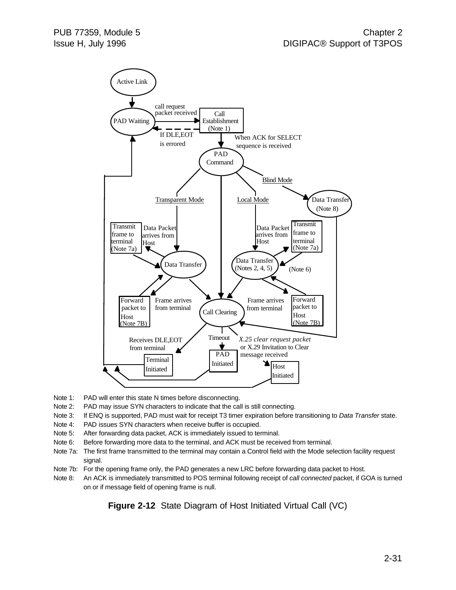

- Note 1: PAD will enter this state N times before disconnecting.
- Note 2: PAD may issue SYN characters to indicate that the call is still connecting.
- Note 3: If ENQ is supported, PAD must wait for receipt T3 timer expiration before transitioning to *Data Transfer* state.
- Note 4: PAD issues SYN characters when receive buffer is occupied.
- Note 5: After forwarding data packet, ACK is immediately issued to terminal.
- Note 6: Before forwarding more data to the terminal, and ACK must be received from terminal.
- Note 7a: The first frame transmitted to the terminal may contain a Control field with the Mode selection facility request signal.
- Note 7b: For the opening frame only, the PAD generates a new LRC before forwarding data packet to Host.
- Note 8: An ACK is immediately transmitted to POS terminal following receipt of *call connected* packet, if GOA is turned on or if message field of opening frame is null.

**Figure 2-12** State Diagram of Host Initiated Virtual Call (VC)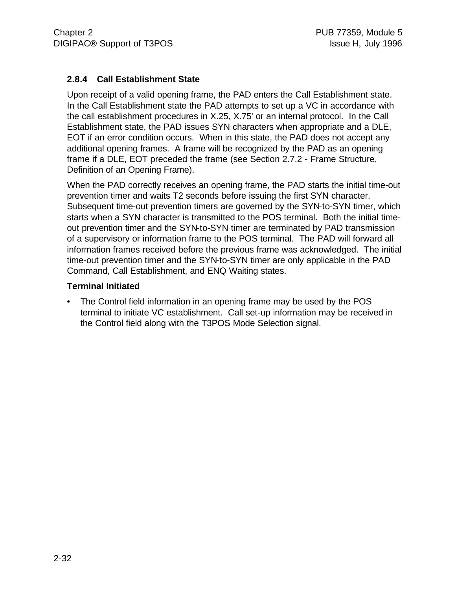### **2.8.4 Call Establishment State**

Upon receipt of a valid opening frame, the PAD enters the Call Establishment state. In the Call Establishment state the PAD attempts to set up a VC in accordance with the call establishment procedures in X.25, X.75' or an internal protocol. In the Call Establishment state, the PAD issues SYN characters when appropriate and a DLE, EOT if an error condition occurs. When in this state, the PAD does not accept any additional opening frames. A frame will be recognized by the PAD as an opening frame if a DLE, EOT preceded the frame (see Section 2.7.2 - Frame Structure, Definition of an Opening Frame).

When the PAD correctly receives an opening frame, the PAD starts the initial time-out prevention timer and waits T2 seconds before issuing the first SYN character. Subsequent time-out prevention timers are governed by the SYN-to-SYN timer, which starts when a SYN character is transmitted to the POS terminal. Both the initial timeout prevention timer and the SYN-to-SYN timer are terminated by PAD transmission of a supervisory or information frame to the POS terminal. The PAD will forward all information frames received before the previous frame was acknowledged. The initial time-out prevention timer and the SYN-to-SYN timer are only applicable in the PAD Command, Call Establishment, and ENQ Waiting states.

#### **Terminal Initiated**

• The Control field information in an opening frame may be used by the POS terminal to initiate VC establishment. Call set-up information may be received in the Control field along with the T3POS Mode Selection signal.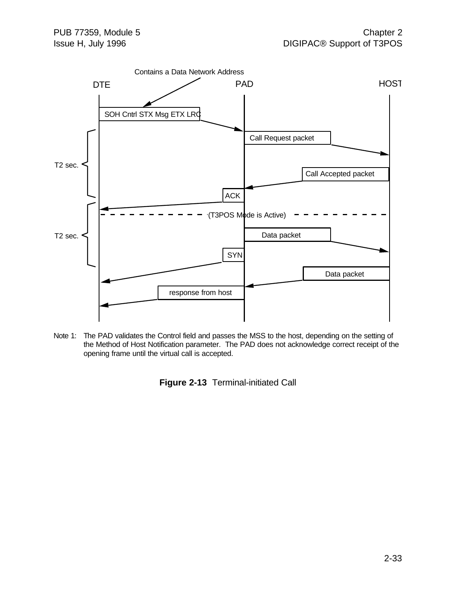

Note 1: The PAD validates the Control field and passes the MSS to the host, depending on the setting of the Method of Host Notification parameter. The PAD does not acknowledge correct receipt of the opening frame until the virtual call is accepted.

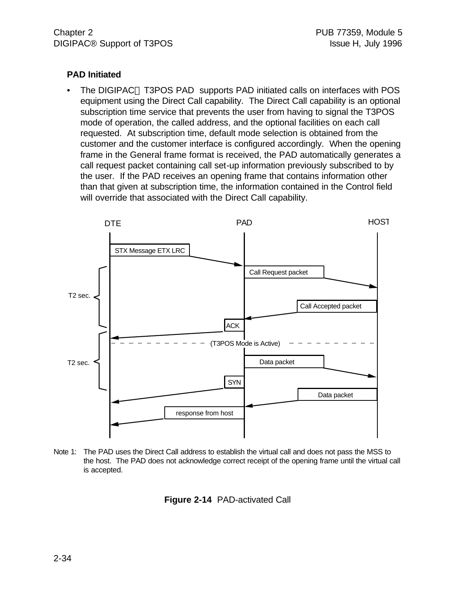#### **PAD Initiated**

The DIGIPAC<sup>®</sup> T3POS PAD supports PAD initiated calls on interfaces with POS equipment using the Direct Call capability. The Direct Call capability is an optional subscription time service that prevents the user from having to signal the T3POS mode of operation, the called address, and the optional facilities on each call requested. At subscription time, default mode selection is obtained from the customer and the customer interface is configured accordingly. When the opening frame in the General frame format is received, the PAD automatically generates a call request packet containing call set-up information previously subscribed to by the user. If the PAD receives an opening frame that contains information other than that given at subscription time, the information contained in the Control field will override that associated with the Direct Call capability.



Note 1: The PAD uses the Direct Call address to establish the virtual call and does not pass the MSS to the host. The PAD does not acknowledge correct receipt of the opening frame until the virtual call is accepted.

**Figure 2-14** PAD-activated Call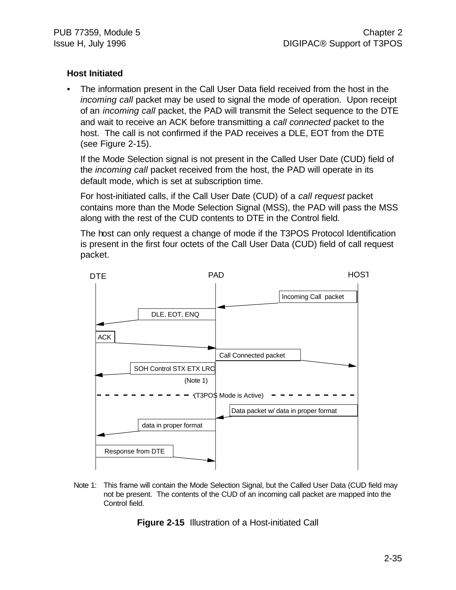### **Host Initiated**

• The information present in the Call User Data field received from the host in the *incoming call* packet may be used to signal the mode of operation. Upon receipt of an *incoming call* packet, the PAD will transmit the Select sequence to the DTE and wait to receive an ACK before transmitting a *call connected* packet to the host. The call is not confirmed if the PAD receives a DLE, EOT from the DTE (see Figure 2-15).

If the Mode Selection signal is not present in the Called User Date (CUD) field of the *incoming call* packet received from the host, the PAD will operate in its default mode, which is set at subscription time.

For host-initiated calls, if the Call User Date (CUD) of a *call request* packet contains more than the Mode Selection Signal (MSS), the PAD will pass the MSS along with the rest of the CUD contents to DTE in the Control field.

The host can only request a change of mode if the T3POS Protocol Identification is present in the first four octets of the Call User Data (CUD) field of call request packet.



Note 1: This frame will contain the Mode Selection Signal, but the Called User Data (CUD field may not be present. The contents of the CUD of an incoming call packet are mapped into the Control field.

**Figure 2-15** Illustration of a Host-initiated Call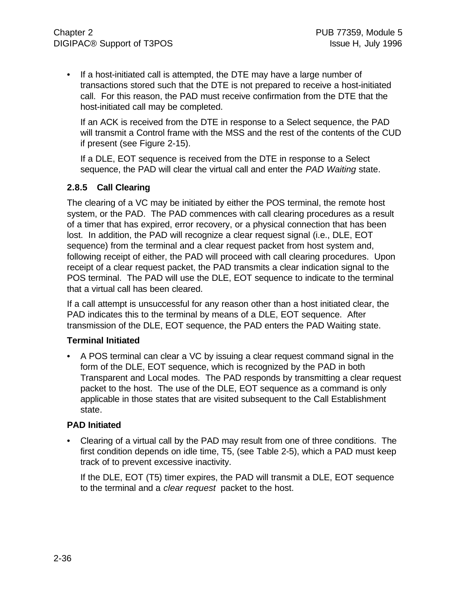• If a host-initiated call is attempted, the DTE may have a large number of transactions stored such that the DTE is not prepared to receive a host-initiated call. For this reason, the PAD must receive confirmation from the DTE that the host-initiated call may be completed.

If an ACK is received from the DTE in response to a Select sequence, the PAD will transmit a Control frame with the MSS and the rest of the contents of the CUD if present (see Figure 2-15).

If a DLE, EOT sequence is received from the DTE in response to a Select sequence, the PAD will clear the virtual call and enter the *PAD Waiting* state.

#### **2.8.5 Call Clearing**

The clearing of a VC may be initiated by either the POS terminal, the remote host system, or the PAD. The PAD commences with call clearing procedures as a result of a timer that has expired, error recovery, or a physical connection that has been lost. In addition, the PAD will recognize a clear request signal (i.e., DLE, EOT sequence) from the terminal and a clear request packet from host system and, following receipt of either, the PAD will proceed with call clearing procedures. Upon receipt of a clear request packet, the PAD transmits a clear indication signal to the POS terminal. The PAD will use the DLE, EOT sequence to indicate to the terminal that a virtual call has been cleared.

If a call attempt is unsuccessful for any reason other than a host initiated clear, the PAD indicates this to the terminal by means of a DLE, EOT sequence. After transmission of the DLE, EOT sequence, the PAD enters the PAD Waiting state.

#### **Terminal Initiated**

• A POS terminal can clear a VC by issuing a clear request command signal in the form of the DLE, EOT sequence, which is recognized by the PAD in both Transparent and Local modes. The PAD responds by transmitting a clear request packet to the host. The use of the DLE, EOT sequence as a command is only applicable in those states that are visited subsequent to the Call Establishment state.

#### **PAD Initiated**

• Clearing of a virtual call by the PAD may result from one of three conditions. The first condition depends on idle time, T5, (see Table 2-5), which a PAD must keep track of to prevent excessive inactivity.

If the DLE, EOT (T5) timer expires, the PAD will transmit a DLE, EOT sequence to the terminal and a *clear request* packet to the host.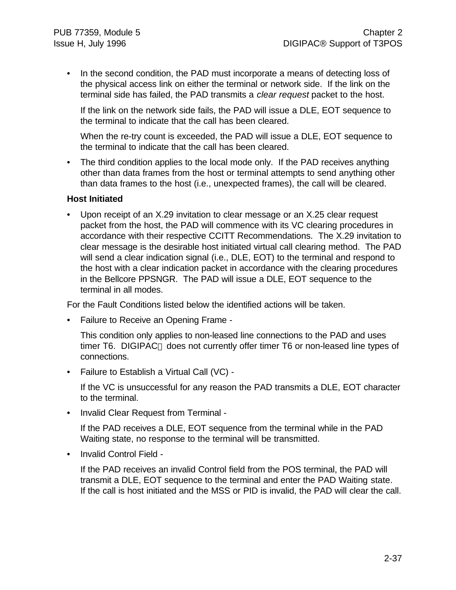• In the second condition, the PAD must incorporate a means of detecting loss of the physical access link on either the terminal or network side. If the link on the terminal side has failed, the PAD transmits a *clear request* packet to the host.

If the link on the network side fails, the PAD will issue a DLE, EOT sequence to the terminal to indicate that the call has been cleared.

When the re-try count is exceeded, the PAD will issue a DLE, EOT sequence to the terminal to indicate that the call has been cleared.

• The third condition applies to the local mode only. If the PAD receives anything other than data frames from the host or terminal attempts to send anything other than data frames to the host (i.e., unexpected frames), the call will be cleared.

#### **Host Initiated**

• Upon receipt of an X.29 invitation to clear message or an X.25 clear request packet from the host, the PAD will commence with its VC clearing procedures in accordance with their respective CCITT Recommendations. The X.29 invitation to clear message is the desirable host initiated virtual call clearing method. The PAD will send a clear indication signal (i.e., DLE, EOT) to the terminal and respond to the host with a clear indication packet in accordance with the clearing procedures in the Bellcore PPSNGR. The PAD will issue a DLE, EOT sequence to the terminal in all modes.

For the Fault Conditions listed below the identified actions will be taken.

• Failure to Receive an Opening Frame -

This condition only applies to non-leased line connections to the PAD and uses timer T6. DIGIPAC<sup>®</sup> does not currently offer timer T6 or non-leased line types of connections.

• Failure to Establish a Virtual Call (VC) -

If the VC is unsuccessful for any reason the PAD transmits a DLE, EOT character to the terminal.

• Invalid Clear Request from Terminal -

If the PAD receives a DLE, EOT sequence from the terminal while in the PAD Waiting state, no response to the terminal will be transmitted.

• Invalid Control Field -

If the PAD receives an invalid Control field from the POS terminal, the PAD will transmit a DLE, EOT sequence to the terminal and enter the PAD Waiting state. If the call is host initiated and the MSS or PID is invalid, the PAD will clear the call.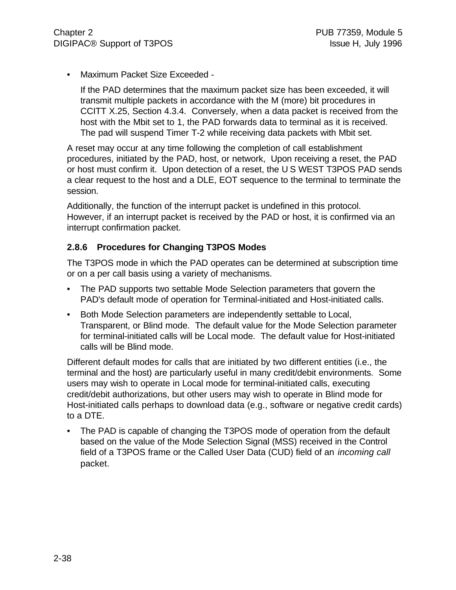• Maximum Packet Size Exceeded -

If the PAD determines that the maximum packet size has been exceeded, it will transmit multiple packets in accordance with the M (more) bit procedures in CCITT X.25, Section 4.3.4. Conversely, when a data packet is received from the host with the Mbit set to 1, the PAD forwards data to terminal as it is received. The pad will suspend Timer T-2 while receiving data packets with Mbit set.

A reset may occur at any time following the completion of call establishment procedures, initiated by the PAD, host, or network, Upon receiving a reset, the PAD or host must confirm it. Upon detection of a reset, the U S WEST T3POS PAD sends a clear request to the host and a DLE, EOT sequence to the terminal to terminate the session.

Additionally, the function of the interrupt packet is undefined in this protocol. However, if an interrupt packet is received by the PAD or host, it is confirmed via an interrupt confirmation packet.

### **2.8.6 Procedures for Changing T3POS Modes**

The T3POS mode in which the PAD operates can be determined at subscription time or on a per call basis using a variety of mechanisms.

- The PAD supports two settable Mode Selection parameters that govern the PAD's default mode of operation for Terminal-initiated and Host-initiated calls.
- Both Mode Selection parameters are independently settable to Local, Transparent, or Blind mode. The default value for the Mode Selection parameter for terminal-initiated calls will be Local mode. The default value for Host-initiated calls will be Blind mode.

Different default modes for calls that are initiated by two different entities (i.e., the terminal and the host) are particularly useful in many credit/debit environments. Some users may wish to operate in Local mode for terminal-initiated calls, executing credit/debit authorizations, but other users may wish to operate in Blind mode for Host-initiated calls perhaps to download data (e.g., software or negative credit cards) to a DTE.

• The PAD is capable of changing the T3POS mode of operation from the default based on the value of the Mode Selection Signal (MSS) received in the Control field of a T3POS frame or the Called User Data (CUD) field of an *incoming call* packet.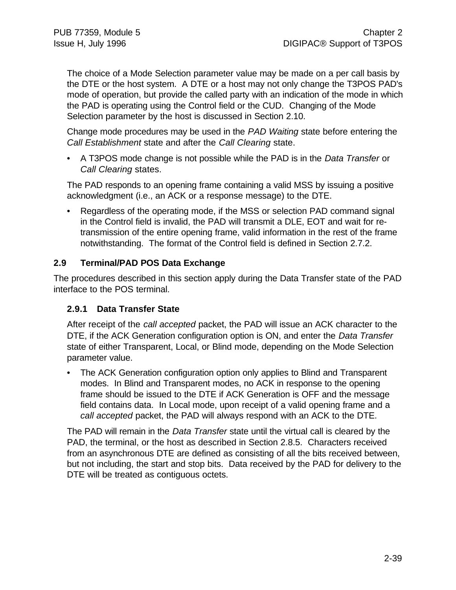The choice of a Mode Selection parameter value may be made on a per call basis by the DTE or the host system. A DTE or a host may not only change the T3POS PAD's mode of operation, but provide the called party with an indication of the mode in which the PAD is operating using the Control field or the CUD. Changing of the Mode Selection parameter by the host is discussed in Section 2.10.

Change mode procedures may be used in the *PAD Waiting* state before entering the *Call Establishment* state and after the *Call Clearing* state.

• A T3POS mode change is not possible while the PAD is in the *Data Transfer* or *Call Clearing* states.

The PAD responds to an opening frame containing a valid MSS by issuing a positive acknowledgment (i.e., an ACK or a response message) to the DTE.

• Regardless of the operating mode, if the MSS or selection PAD command signal in the Control field is invalid, the PAD will transmit a DLE, EOT and wait for retransmission of the entire opening frame, valid information in the rest of the frame notwithstanding. The format of the Control field is defined in Section 2.7.2.

### **2.9 Terminal/PAD POS Data Exchange**

The procedures described in this section apply during the Data Transfer state of the PAD interface to the POS terminal.

### **2.9.1 Data Transfer State**

After receipt of the *call accepted* packet, the PAD will issue an ACK character to the DTE, if the ACK Generation configuration option is ON, and enter the *Data Transfer* state of either Transparent, Local, or Blind mode, depending on the Mode Selection parameter value.

• The ACK Generation configuration option only applies to Blind and Transparent modes. In Blind and Transparent modes, no ACK in response to the opening frame should be issued to the DTE if ACK Generation is OFF and the message field contains data. In Local mode, upon receipt of a valid opening frame and a *call accepted* packet, the PAD will always respond with an ACK to the DTE.

The PAD will remain in the *Data Transfer* state until the virtual call is cleared by the PAD, the terminal, or the host as described in Section 2.8.5. Characters received from an asynchronous DTE are defined as consisting of all the bits received between, but not including, the start and stop bits. Data received by the PAD for delivery to the DTE will be treated as contiguous octets.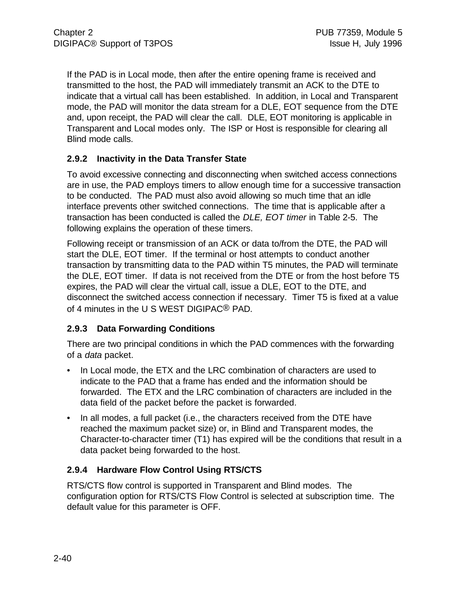If the PAD is in Local mode, then after the entire opening frame is received and transmitted to the host, the PAD will immediately transmit an ACK to the DTE to indicate that a virtual call has been established. In addition, in Local and Transparent mode, the PAD will monitor the data stream for a DLE, EOT sequence from the DTE and, upon receipt, the PAD will clear the call. DLE, EOT monitoring is applicable in Transparent and Local modes only. The ISP or Host is responsible for clearing all Blind mode calls.

### **2.9.2 Inactivity in the Data Transfer State**

To avoid excessive connecting and disconnecting when switched access connections are in use, the PAD employs timers to allow enough time for a successive transaction to be conducted. The PAD must also avoid allowing so much time that an idle interface prevents other switched connections. The time that is applicable after a transaction has been conducted is called the *DLE, EOT timer* in Table 2-5. The following explains the operation of these timers.

Following receipt or transmission of an ACK or data to/from the DTE, the PAD will start the DLE, EOT timer. If the terminal or host attempts to conduct another transaction by transmitting data to the PAD within T5 minutes, the PAD will terminate the DLE, EOT timer. If data is not received from the DTE or from the host before T5 expires, the PAD will clear the virtual call, issue a DLE, EOT to the DTE, and disconnect the switched access connection if necessary. Timer T5 is fixed at a value of 4 minutes in the U S WEST DIGIPAC® PAD.

### **2.9.3 Data Forwarding Conditions**

There are two principal conditions in which the PAD commences with the forwarding of a *data* packet.

- In Local mode, the ETX and the LRC combination of characters are used to indicate to the PAD that a frame has ended and the information should be forwarded. The ETX and the LRC combination of characters are included in the data field of the packet before the packet is forwarded.
- In all modes, a full packet (i.e., the characters received from the DTE have reached the maximum packet size) or, in Blind and Transparent modes, the Character-to-character timer (T1) has expired will be the conditions that result in a data packet being forwarded to the host.

### **2.9.4 Hardware Flow Control Using RTS/CTS**

RTS/CTS flow control is supported in Transparent and Blind modes. The configuration option for RTS/CTS Flow Control is selected at subscription time. The default value for this parameter is OFF.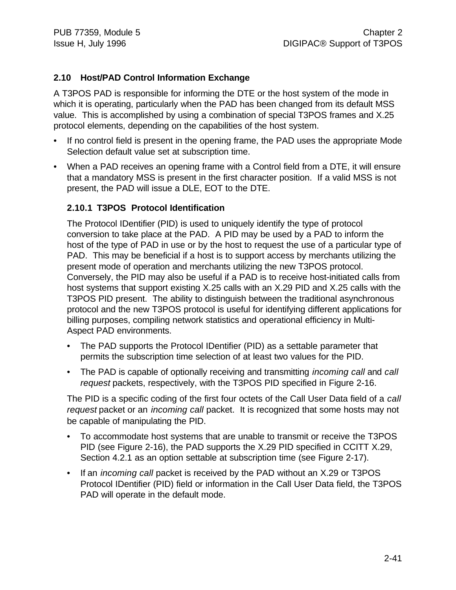### **2.10 Host/PAD Control Information Exchange**

A T3POS PAD is responsible for informing the DTE or the host system of the mode in which it is operating, particularly when the PAD has been changed from its default MSS value. This is accomplished by using a combination of special T3POS frames and X.25 protocol elements, depending on the capabilities of the host system.

- If no control field is present in the opening frame, the PAD uses the appropriate Mode Selection default value set at subscription time.
- When a PAD receives an opening frame with a Control field from a DTE, it will ensure that a mandatory MSS is present in the first character position. If a valid MSS is not present, the PAD will issue a DLE, EOT to the DTE.

#### **2.10.1 T3POS Protocol Identification**

The Protocol IDentifier (PID) is used to uniquely identify the type of protocol conversion to take place at the PAD. A PID may be used by a PAD to inform the host of the type of PAD in use or by the host to request the use of a particular type of PAD. This may be beneficial if a host is to support access by merchants utilizing the present mode of operation and merchants utilizing the new T3POS protocol. Conversely, the PID may also be useful if a PAD is to receive host-initiated calls from host systems that support existing X.25 calls with an X.29 PID and X.25 calls with the T3POS PID present. The ability to distinguish between the traditional asynchronous protocol and the new T3POS protocol is useful for identifying different applications for billing purposes, compiling network statistics and operational efficiency in Multi-Aspect PAD environments.

- The PAD supports the Protocol IDentifier (PID) as a settable parameter that permits the subscription time selection of at least two values for the PID.
- The PAD is capable of optionally receiving and transmitting *incoming call* and *call request* packets, respectively, with the T3POS PID specified in Figure 2-16.

The PID is a specific coding of the first four octets of the Call User Data field of a *call request* packet or an *incoming call* packet. It is recognized that some hosts may not be capable of manipulating the PID.

- To accommodate host systems that are unable to transmit or receive the T3POS PID (see Figure 2-16), the PAD supports the X.29 PID specified in CCITT X.29, Section 4.2.1 as an option settable at subscription time (see Figure 2-17).
- If an *incoming call* packet is received by the PAD without an X.29 or T3POS Protocol IDentifier (PID) field or information in the Call User Data field, the T3POS PAD will operate in the default mode.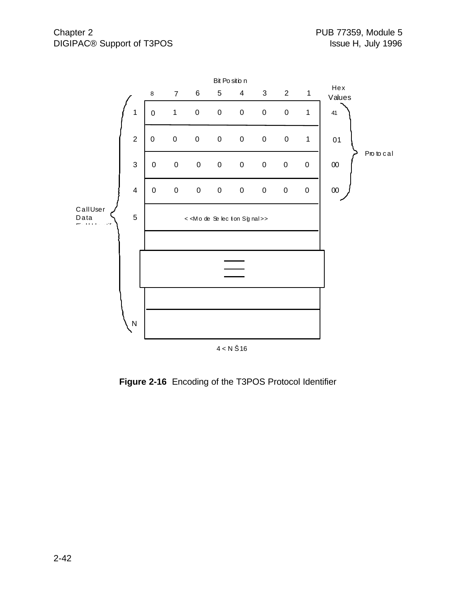

**Figure 2-16** Encoding of the T3POS Protocol Identifier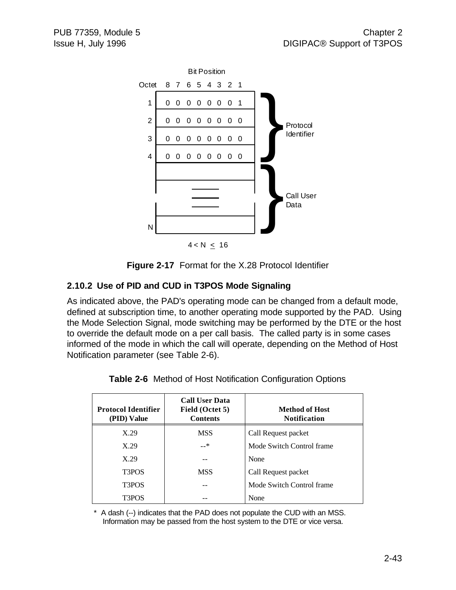

**Figure 2-17** Format for the X.28 Protocol Identifier

## **2.10.2 Use of PID and CUD in T3POS Mode Signaling**

As indicated above, the PAD's operating mode can be changed from a default mode, defined at subscription time, to another operating mode supported by the PAD. Using the Mode Selection Signal, mode switching may be performed by the DTE or the host to override the default mode on a per call basis. The called party is in some cases informed of the mode in which the call will operate, depending on the Method of Host Notification parameter (see Table 2-6).

| <b>Protocol Identifier</b><br>(PID) Value | <b>Call User Data</b><br>Field (Octet 5)<br><b>Contents</b> | Method of Host<br><b>Notification</b> |
|-------------------------------------------|-------------------------------------------------------------|---------------------------------------|
| X.29                                      | <b>MSS</b>                                                  | Call Request packet                   |
| X.29                                      | —*                                                          | Mode Switch Control frame             |
| X.29                                      |                                                             | None                                  |
| T3POS                                     | <b>MSS</b>                                                  | Call Request packet                   |
| T <sub>3</sub> POS                        |                                                             | Mode Switch Control frame             |
| T3POS                                     |                                                             | None                                  |

**Table 2-6** Method of Host Notification Configuration Options

\* A dash (--) indicates that the PAD does not populate the CUD with an MSS. Information may be passed from the host system to the DTE or vice versa.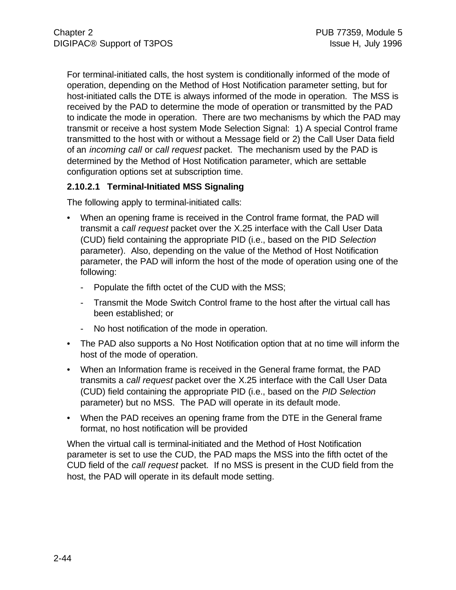For terminal-initiated calls, the host system is conditionally informed of the mode of operation, depending on the Method of Host Notification parameter setting, but for host-initiated calls the DTE is always informed of the mode in operation. The MSS is received by the PAD to determine the mode of operation or transmitted by the PAD to indicate the mode in operation. There are two mechanisms by which the PAD may transmit or receive a host system Mode Selection Signal: 1) A special Control frame transmitted to the host with or without a Message field or 2) the Call User Data field of an *incoming call* or *call request* packet. The mechanism used by the PAD is determined by the Method of Host Notification parameter, which are settable configuration options set at subscription time.

### **2.10.2.1 Terminal-Initiated MSS Signaling**

The following apply to terminal-initiated calls:

- When an opening frame is received in the Control frame format, the PAD will transmit a *call request* packet over the X.25 interface with the Call User Data (CUD) field containing the appropriate PID (i.e., based on the PID *Selection* parameter). Also, depending on the value of the Method of Host Notification parameter, the PAD will inform the host of the mode of operation using one of the following:
	- Populate the fifth octet of the CUD with the MSS;
	- Transmit the Mode Switch Control frame to the host after the virtual call has been established; or
	- No host notification of the mode in operation.
- The PAD also supports a No Host Notification option that at no time will inform the host of the mode of operation.
- When an Information frame is received in the General frame format, the PAD transmits a *call request* packet over the X.25 interface with the Call User Data (CUD) field containing the appropriate PID (i.e., based on the *PID Selection* parameter) but no MSS. The PAD will operate in its default mode.
- When the PAD receives an opening frame from the DTE in the General frame format, no host notification will be provided

When the virtual call is terminal-initiated and the Method of Host Notification parameter is set to use the CUD, the PAD maps the MSS into the fifth octet of the CUD field of the *call request* packet. If no MSS is present in the CUD field from the host, the PAD will operate in its default mode setting.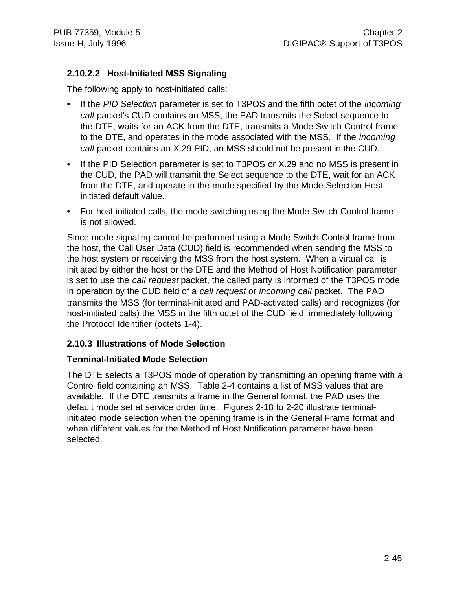### **2.10.2.2 Host-Initiated MSS Signaling**

The following apply to host-initiated calls:

- If the *PID Selection* parameter is set to T3POS and the fifth octet of the *incoming call* packet's CUD contains an MSS, the PAD transmits the Select sequence to the DTE, waits for an ACK from the DTE, transmits a Mode Switch Control frame to the DTE, and operates in the mode associated with the MSS. If the *incoming call* packet contains an X.29 PID, an MSS should not be present in the CUD.
- If the PID Selection parameter is set to T3POS or X.29 and no MSS is present in the CUD, the PAD will transmit the Select sequence to the DTE, wait for an ACK from the DTE, and operate in the mode specified by the Mode Selection Hostinitiated default value.
- For host-initiated calls, the mode switching using the Mode Switch Control frame is not allowed.

Since mode signaling cannot be performed using a Mode Switch Control frame from the host, the Call User Data (CUD) field is recommended when sending the MSS to the host system or receiving the MSS from the host system. When a virtual call is initiated by either the host or the DTE and the Method of Host Notification parameter is set to use the *call request* packet, the called party is informed of the T3POS mode in operation by the CUD field of a *call request* or *incoming call* packet. The PAD transmits the MSS (for terminal-initiated and PAD-activated calls) and recognizes (for host-initiated calls) the MSS in the fifth octet of the CUD field, immediately following the Protocol Identifier (octets 1-4).

### **2.10.3 Illustrations of Mode Selection**

#### **Terminal-Initiated Mode Selection**

The DTE selects a T3POS mode of operation by transmitting an opening frame with a Control field containing an MSS. Table 2-4 contains a list of MSS values that are available. If the DTE transmits a frame in the General format, the PAD uses the default mode set at service order time. Figures 2-18 to 2-20 illustrate terminalinitiated mode selection when the opening frame is in the General Frame format and when different values for the Method of Host Notification parameter have been selected.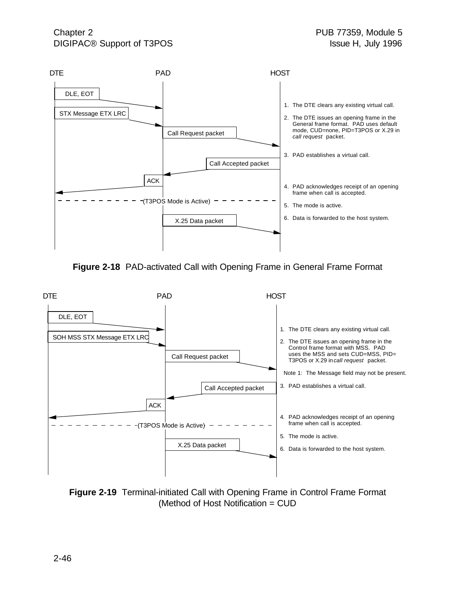

**Figure 2-18** PAD-activated Call with Opening Frame in General Frame Format



**Figure 2-19** Terminal-initiated Call with Opening Frame in Control Frame Format (Method of Host Notification = CUD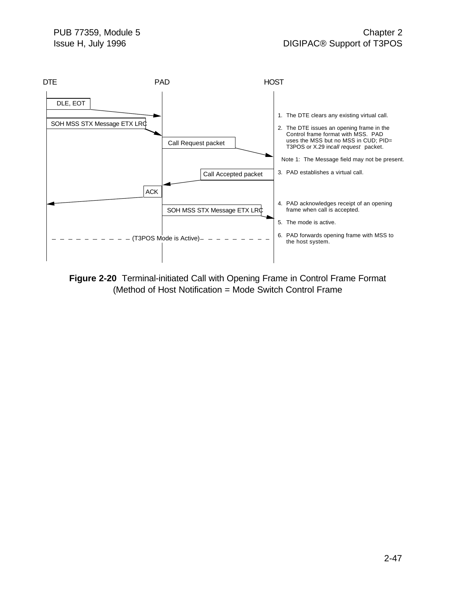

**Figure 2-20** Terminal-initiated Call with Opening Frame in Control Frame Format (Method of Host Notification = Mode Switch Control Frame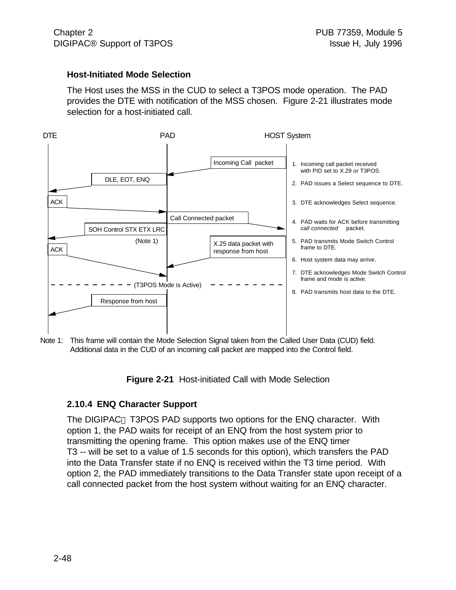#### **Host-Initiated Mode Selection**

The Host uses the MSS in the CUD to select a T3POS mode operation. The PAD provides the DTE with notification of the MSS chosen. Figure 2-21 illustrates mode selection for a host-initiated call.



Note 1: This frame will contain the Mode Selection Signal taken from the Called User Data (CUD) field. Additional data in the CUD of an incoming call packet are mapped into the Control field.

**Figure 2-21** Host-initiated Call with Mode Selection

#### **2.10.4 ENQ Character Support**

The DIGIPAC<sup>®</sup> T3POS PAD supports two options for the ENQ character. With option 1, the PAD waits for receipt of an ENQ from the host system prior to transmitting the opening frame. This option makes use of the ENQ timer T3 -- will be set to a value of 1.5 seconds for this option), which transfers the PAD into the Data Transfer state if no ENQ is received within the T3 time period. With option 2, the PAD immediately transitions to the Data Transfer state upon receipt of a call connected packet from the host system without waiting for an ENQ character.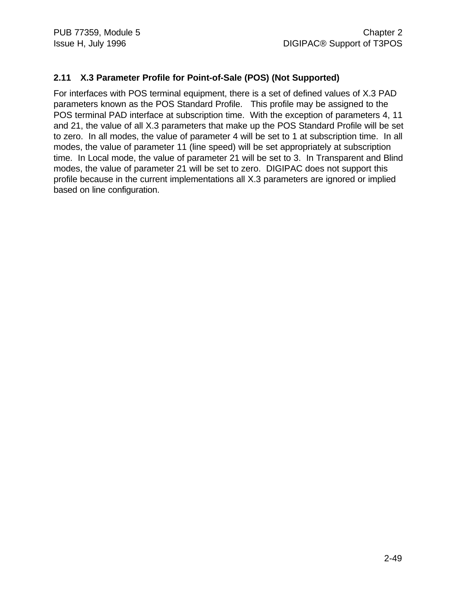### **2.11 X.3 Parameter Profile for Point-of-Sale (POS) (Not Supported)**

For interfaces with POS terminal equipment, there is a set of defined values of X.3 PAD parameters known as the POS Standard Profile. This profile may be assigned to the POS terminal PAD interface at subscription time. With the exception of parameters 4, 11 and 21, the value of all X.3 parameters that make up the POS Standard Profile will be set to zero. In all modes, the value of parameter 4 will be set to 1 at subscription time. In all modes, the value of parameter 11 (line speed) will be set appropriately at subscription time. In Local mode, the value of parameter 21 will be set to 3. In Transparent and Blind modes, the value of parameter 21 will be set to zero. DIGIPAC does not support this profile because in the current implementations all X.3 parameters are ignored or implied based on line configuration.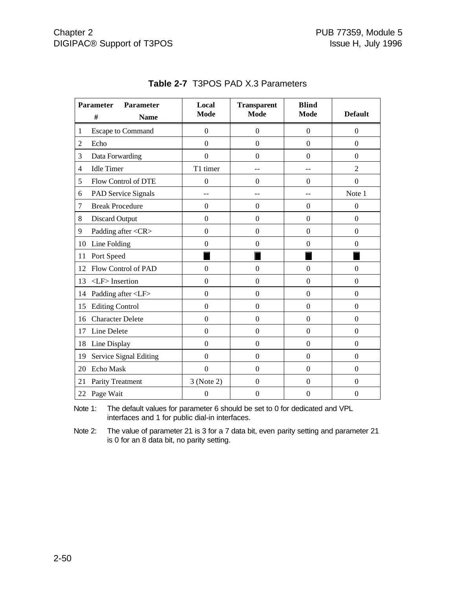|                | <b>Parameter</b><br>Parameter<br>#<br><b>Name</b> | Local<br><b>Mode</b> | <b>Transparent</b><br><b>Mode</b> | <b>Blind</b><br><b>Mode</b> | <b>Default</b>   |
|----------------|---------------------------------------------------|----------------------|-----------------------------------|-----------------------------|------------------|
| 1              | <b>Escape to Command</b>                          | $\theta$             | $\overline{0}$                    | $\boldsymbol{0}$            | $\overline{0}$   |
| $\overline{2}$ | Echo                                              | $\boldsymbol{0}$     | $\boldsymbol{0}$                  | $\boldsymbol{0}$            | $\theta$         |
| 3              | Data Forwarding                                   | $\overline{0}$       | $\Omega$                          | $\theta$                    | $\theta$         |
|                | <b>Idle Timer</b>                                 | T1 timer             |                                   |                             | $\overline{2}$   |
| 4              |                                                   |                      |                                   |                             |                  |
| 5              | Flow Control of DTE                               | $\boldsymbol{0}$     | $\Omega$                          | $\theta$                    | $\theta$         |
| 6              | PAD Service Signals                               |                      |                                   |                             | Note 1           |
| 7              | <b>Break Procedure</b>                            | $\boldsymbol{0}$     | $\Omega$                          | $\Omega$                    | $\mathbf{0}$     |
| 8              | <b>Discard Output</b>                             | $\overline{0}$       | $\boldsymbol{0}$                  | $\boldsymbol{0}$            | $\theta$         |
| 9              | Padding after <cr></cr>                           | $\mathbf{0}$         | $\Omega$                          | $\Omega$                    | $\theta$         |
| 10             | Line Folding                                      | $\mathbf{0}$         | $\boldsymbol{0}$                  | $\boldsymbol{0}$            | $\mathbf{0}$     |
| 11             | Port Speed                                        |                      |                                   |                             |                  |
| 12             | Flow Control of PAD                               | $\overline{0}$       | $\overline{0}$                    | $\overline{0}$              | $\Omega$         |
| 13             | $\langle$ LF $>$ Insertion                        | $\overline{0}$       | $\Omega$                          | $\theta$                    | $\theta$         |
| 14             | Padding after <lf></lf>                           | $\overline{0}$       | $\boldsymbol{0}$                  | $\mathbf{0}$                | $\theta$         |
| 15             | <b>Editing Control</b>                            | $\overline{0}$       | $\boldsymbol{0}$                  | $\mathbf{0}$                | $\overline{0}$   |
| 16             | <b>Character Delete</b>                           | $\overline{0}$       | $\mathbf{0}$                      | $\mathbf{0}$                | $\overline{0}$   |
| 17             | Line Delete                                       | $\mathbf{0}$         | $\boldsymbol{0}$                  | $\boldsymbol{0}$            | $\boldsymbol{0}$ |
| 18             | Line Display                                      | $\overline{0}$       | $\boldsymbol{0}$                  | $\boldsymbol{0}$            | $\overline{0}$   |
| 19             | Service Signal Editing                            | $\mathbf{0}$         | $\boldsymbol{0}$                  | $\boldsymbol{0}$            | $\mathbf{0}$     |
| 20             | Echo Mask                                         | $\overline{0}$       | $\Omega$                          | $\overline{0}$              | $\theta$         |
| 21             | Parity Treatment                                  | 3 (Note 2)           | $\boldsymbol{0}$                  | $\boldsymbol{0}$            | $\mathbf{0}$     |
|                | 22 Page Wait                                      | $\boldsymbol{0}$     | $\boldsymbol{0}$                  | $\boldsymbol{0}$            | $\boldsymbol{0}$ |

### **Table 2-7** T3POS PAD X.3 Parameters

Note 1: The default values for parameter 6 should be set to 0 for dedicated and VPL interfaces and 1 for public dial-in interfaces.

Note 2: The value of parameter 21 is 3 for a 7 data bit, even parity setting and parameter 21 is 0 for an 8 data bit, no parity setting.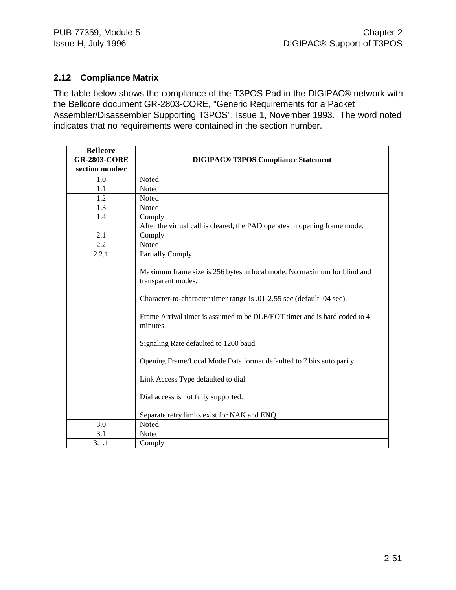### **2.12 Compliance Matrix**

The table below shows the compliance of the T3POS Pad in the DIGIPAC® network with the Bellcore document GR-2803-CORE, "Generic Requirements for a Packet Assembler/Disassembler Supporting T3POS", Issue 1, November 1993. The word noted indicates that no requirements were contained in the section number.

| <b>Bellcore</b><br><b>GR-2803-CORE</b><br>section number | <b>DIGIPAC<sup>®</sup> T3POS Compliance Statement</b>                                                                                                                                                                                                                                                                                 |
|----------------------------------------------------------|---------------------------------------------------------------------------------------------------------------------------------------------------------------------------------------------------------------------------------------------------------------------------------------------------------------------------------------|
| 1.0                                                      | Noted                                                                                                                                                                                                                                                                                                                                 |
| 1.1                                                      | Noted                                                                                                                                                                                                                                                                                                                                 |
| 1.2                                                      | Noted                                                                                                                                                                                                                                                                                                                                 |
| 1.3                                                      | Noted                                                                                                                                                                                                                                                                                                                                 |
| 1.4                                                      | Comply<br>After the virtual call is cleared, the PAD operates in opening frame mode.                                                                                                                                                                                                                                                  |
| 2.1                                                      | Comply                                                                                                                                                                                                                                                                                                                                |
| 2.2                                                      | Noted                                                                                                                                                                                                                                                                                                                                 |
| 2.2.1                                                    | <b>Partially Comply</b><br>Maximum frame size is 256 bytes in local mode. No maximum for blind and<br>transparent modes.<br>Character-to-character timer range is .01-2.55 sec (default .04 sec).                                                                                                                                     |
|                                                          | Frame Arrival timer is assumed to be DLE/EOT timer and is hard coded to 4<br>minutes.<br>Signaling Rate defaulted to 1200 baud.<br>Opening Frame/Local Mode Data format defaulted to 7 bits auto parity.<br>Link Access Type defaulted to dial.<br>Dial access is not fully supported.<br>Separate retry limits exist for NAK and ENQ |
| 3.0                                                      | Noted                                                                                                                                                                                                                                                                                                                                 |
| 3.1                                                      | Noted                                                                                                                                                                                                                                                                                                                                 |
| 3.1.1                                                    | Comply                                                                                                                                                                                                                                                                                                                                |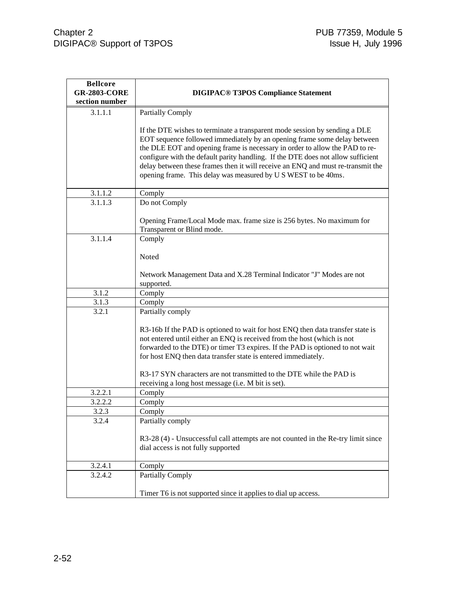| <b>Bellcore</b><br><b>GR-2803-CORE</b> | <b>DIGIPAC® T3POS Compliance Statement</b>                                       |
|----------------------------------------|----------------------------------------------------------------------------------|
| section number                         |                                                                                  |
| 3.1.1.1                                |                                                                                  |
|                                        | <b>Partially Comply</b>                                                          |
|                                        | If the DTE wishes to terminate a transparent mode session by sending a DLE       |
|                                        | EOT sequence followed immediately by an opening frame some delay between         |
|                                        | the DLE EOT and opening frame is necessary in order to allow the PAD to re-      |
|                                        | configure with the default parity handling. If the DTE does not allow sufficient |
|                                        | delay between these frames then it will receive an ENQ and must re-transmit the  |
|                                        | opening frame. This delay was measured by U S WEST to be 40ms.                   |
|                                        |                                                                                  |
| 3.1.1.2                                | Comply                                                                           |
| 3.1.1.3                                | Do not Comply                                                                    |
|                                        |                                                                                  |
|                                        | Opening Frame/Local Mode max. frame size is 256 bytes. No maximum for            |
|                                        | Transparent or Blind mode.                                                       |
| 3.1.1.4                                | Comply                                                                           |
|                                        |                                                                                  |
|                                        | Noted                                                                            |
|                                        | Network Management Data and X.28 Terminal Indicator "J" Modes are not            |
|                                        | supported.                                                                       |
| 3.1.2                                  | Comply                                                                           |
| 3.1.3                                  | Comply                                                                           |
| 3.2.1                                  | Partially comply                                                                 |
|                                        |                                                                                  |
|                                        | R3-16b If the PAD is optioned to wait for host ENQ then data transfer state is   |
|                                        | not entered until either an ENQ is received from the host (which is not          |
|                                        | forwarded to the DTE) or timer T3 expires. If the PAD is optioned to not wait    |
|                                        | for host ENQ then data transfer state is entered immediately.                    |
|                                        |                                                                                  |
|                                        | R3-17 SYN characters are not transmitted to the DTE while the PAD is             |
| 3.2.2.1                                | receiving a long host message (i.e. M bit is set).<br>Comply                     |
| 3.2.2.2                                | Comply                                                                           |
| 3.2.3                                  | Comply                                                                           |
| 3.2.4                                  | Partially comply                                                                 |
|                                        |                                                                                  |
|                                        | R3-28 (4) - Unsuccessful call attempts are not counted in the Re-try limit since |
|                                        | dial access is not fully supported                                               |
|                                        |                                                                                  |
| 3.2.4.1                                | Comply                                                                           |
| 3.2.4.2                                | <b>Partially Comply</b>                                                          |
|                                        |                                                                                  |
|                                        | Timer T6 is not supported since it applies to dial up access.                    |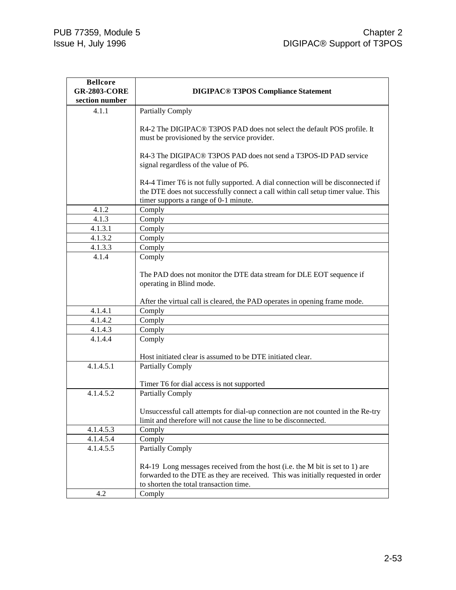| <b>Bellcore</b>     |                                                                                  |
|---------------------|----------------------------------------------------------------------------------|
| <b>GR-2803-CORE</b> | <b>DIGIPAC® T3POS Compliance Statement</b>                                       |
| section number      |                                                                                  |
| 4.1.1               | <b>Partially Comply</b>                                                          |
|                     | R4-2 The DIGIPAC® T3POS PAD does not select the default POS profile. It          |
|                     | must be provisioned by the service provider.                                     |
|                     |                                                                                  |
|                     | R4-3 The DIGIPAC® T3POS PAD does not send a T3POS-ID PAD service                 |
|                     | signal regardless of the value of P6.                                            |
|                     |                                                                                  |
|                     | R4-4 Timer T6 is not fully supported. A dial connection will be disconnected if  |
|                     | the DTE does not successfully connect a call within call setup timer value. This |
|                     | timer supports a range of 0-1 minute.                                            |
| 4.1.2               | Comply                                                                           |
| 4.1.3               | Comply                                                                           |
| 4.1.3.1             | Comply                                                                           |
| 4.1.3.2             | Comply                                                                           |
| 4.1.3.3             | Comply                                                                           |
| 4.1.4               | Comply                                                                           |
|                     |                                                                                  |
|                     | The PAD does not monitor the DTE data stream for DLE EOT sequence if             |
|                     | operating in Blind mode.                                                         |
|                     |                                                                                  |
|                     | After the virtual call is cleared, the PAD operates in opening frame mode.       |
| 4.1.4.1             | Comply                                                                           |
| 4.1.4.2             | Comply                                                                           |
| 4.1.4.3             | Comply                                                                           |
| 4.1.4.4             | Comply                                                                           |
|                     |                                                                                  |
|                     | Host initiated clear is assumed to be DTE initiated clear.                       |
| 4.1.4.5.1           | <b>Partially Comply</b>                                                          |
|                     |                                                                                  |
| 4.1.4.5.2           | Timer T6 for dial access is not supported<br><b>Partially Comply</b>             |
|                     |                                                                                  |
|                     | Unsuccessful call attempts for dial-up connection are not counted in the Re-try  |
|                     | limit and therefore will not cause the line to be disconnected.                  |
| 4.1.4.5.3           | Comply                                                                           |
| 4.1.4.5.4           | Comply                                                                           |
| 4.1.4.5.5           | <b>Partially Comply</b>                                                          |
|                     |                                                                                  |
|                     | R4-19 Long messages received from the host (i.e. the M bit is set to 1) are      |
|                     | forwarded to the DTE as they are received. This was initially requested in order |
|                     | to shorten the total transaction time.                                           |
| 4.2                 | Comply                                                                           |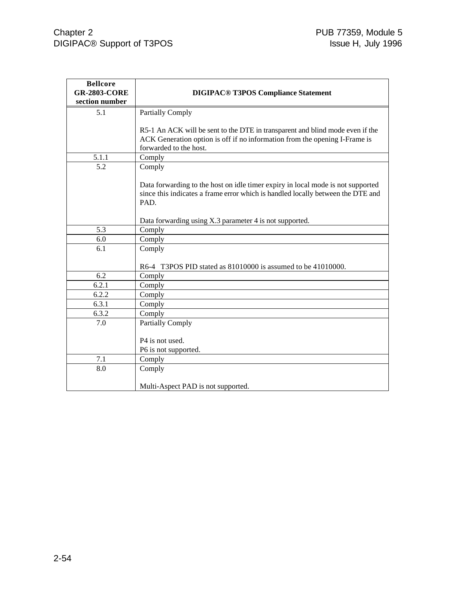| <b>Bellcore</b>     |                                                                                 |
|---------------------|---------------------------------------------------------------------------------|
| <b>GR-2803-CORE</b> | <b>DIGIPAC® T3POS Compliance Statement</b>                                      |
| section number      |                                                                                 |
| 5.1                 | <b>Partially Comply</b>                                                         |
|                     |                                                                                 |
|                     | R5-1 An ACK will be sent to the DTE in transparent and blind mode even if the   |
|                     | ACK Generation option is off if no information from the opening I-Frame is      |
|                     | forwarded to the host.                                                          |
| 5.1.1               | Comply                                                                          |
| 5.2                 | Comply                                                                          |
|                     |                                                                                 |
|                     | Data forwarding to the host on idle timer expiry in local mode is not supported |
|                     | since this indicates a frame error which is handled locally between the DTE and |
|                     | PAD.                                                                            |
|                     |                                                                                 |
|                     | Data forwarding using X.3 parameter 4 is not supported.                         |
| 5.3                 | Comply                                                                          |
| 6.0                 | Comply                                                                          |
| 6.1                 | Comply                                                                          |
|                     |                                                                                 |
|                     | R6-4 T3POS PID stated as 81010000 is assumed to be 41010000.                    |
| 6.2                 | Comply                                                                          |
| 6.2.1               | Comply                                                                          |
| 6.2.2               | Comply                                                                          |
| 6.3.1               | Comply                                                                          |
| 6.3.2               | Comply                                                                          |
| 7.0                 | <b>Partially Comply</b>                                                         |
|                     | P <sub>4</sub> is not used.                                                     |
|                     | P6 is not supported.                                                            |
| 7.1                 | Comply                                                                          |
| 8.0                 | Comply                                                                          |
|                     |                                                                                 |
|                     | Multi-Aspect PAD is not supported.                                              |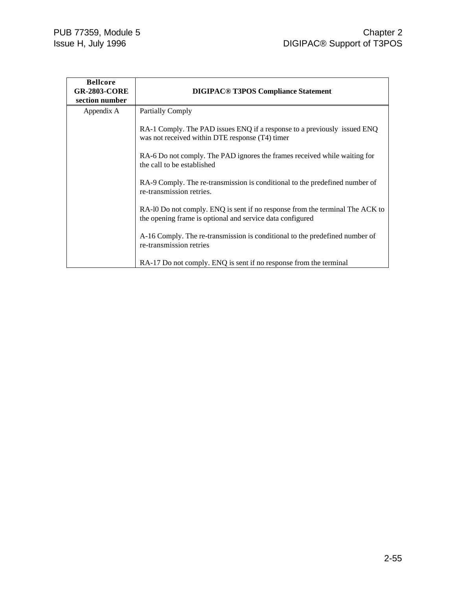| <b>Bellcore</b><br><b>GR-2803-CORE</b><br>section number | <b>DIGIPAC<sup>®</sup> T3POS Compliance Statement</b>                                                                                     |
|----------------------------------------------------------|-------------------------------------------------------------------------------------------------------------------------------------------|
| Appendix A                                               | <b>Partially Comply</b>                                                                                                                   |
|                                                          | RA-1 Comply. The PAD issues ENQ if a response to a previously issued ENQ<br>was not received within DTE response (T4) timer               |
|                                                          | RA-6 Do not comply. The PAD ignores the frames received while waiting for<br>the call to be established                                   |
|                                                          | RA-9 Comply. The re-transmission is conditional to the predefined number of<br>re-transmission retries.                                   |
|                                                          | RA-10 Do not comply. ENQ is sent if no response from the terminal The ACK to<br>the opening frame is optional and service data configured |
|                                                          | A-16 Comply. The re-transmission is conditional to the predefined number of<br>re-transmission retries                                    |
|                                                          | RA-17 Do not comply. ENQ is sent if no response from the terminal                                                                         |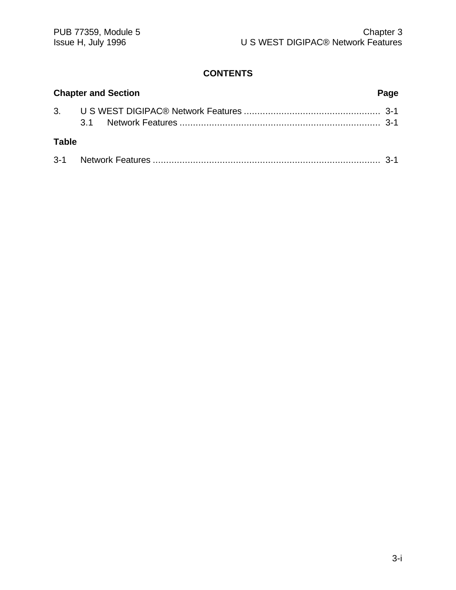## **CONTENTS**

| <b>Chapter and Section</b> |  |  |
|----------------------------|--|--|
|                            |  |  |
| <b>Table</b>               |  |  |
|                            |  |  |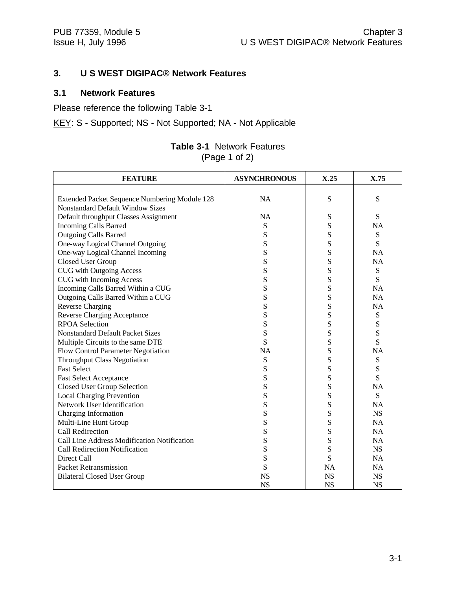### **3. U S WEST DIGIPAC® Network Features**

#### **3.1 Network Features**

Please reference the following Table 3-1

KEY: S - Supported; NS - Not Supported; NA - Not Applicable

| <b>FEATURE</b>                                | <b>ASYNCHRONOUS</b> | X.25      | X.75      |
|-----------------------------------------------|---------------------|-----------|-----------|
|                                               |                     |           |           |
| Extended Packet Sequence Numbering Module 128 | <b>NA</b>           | S         | S         |
| <b>Nonstandard Default Window Sizes</b>       |                     |           |           |
| Default throughput Classes Assignment         | NA                  | S         | S         |
| <b>Incoming Calls Barred</b>                  | S                   | S         | <b>NA</b> |
| <b>Outgoing Calls Barred</b>                  | S                   | S         | S         |
| One-way Logical Channel Outgoing              | S                   | S         | S         |
| One-way Logical Channel Incoming              | S                   | S         | <b>NA</b> |
| Closed User Group                             | S                   | S         | <b>NA</b> |
| <b>CUG</b> with Outgoing Access               | S                   | S         | S         |
| <b>CUG</b> with Incoming Access               | S                   | S         | S         |
| Incoming Calls Barred Within a CUG            | S                   | S         | <b>NA</b> |
| Outgoing Calls Barred Within a CUG            | S                   | S         | <b>NA</b> |
| <b>Reverse Charging</b>                       | S                   | S         | <b>NA</b> |
| <b>Reverse Charging Acceptance</b>            | S                   | S         | S         |
| <b>RPOA Selection</b>                         | S                   | S         | ${\bf S}$ |
| <b>Nonstandard Default Packet Sizes</b>       | S                   | S         | S         |
| Multiple Circuits to the same DTE             | S                   | S         | S         |
| Flow Control Parameter Negotiation            | <b>NA</b>           | S         | <b>NA</b> |
| <b>Throughput Class Negotiation</b>           | S                   | S         | ${\bf S}$ |
| <b>Fast Select</b>                            | S                   | S         | ${\bf S}$ |
| <b>Fast Select Acceptance</b>                 | S                   | S         | S         |
| <b>Closed User Group Selection</b>            | S                   | S         | <b>NA</b> |
| <b>Local Charging Prevention</b>              | S                   | S         | S         |
| Network User Identification                   | S                   | S         | <b>NA</b> |
| Charging Information                          | S                   | S         | <b>NS</b> |
| Multi-Line Hunt Group                         | S                   | S         | <b>NA</b> |
| Call Redirection                              | S                   | S         | <b>NA</b> |
| Call Line Address Modification Notification   | S                   | S         | <b>NA</b> |
| <b>Call Redirection Notification</b>          | S                   | S         | <b>NS</b> |
| Direct Call                                   | S                   | S         | <b>NA</b> |
| Packet Retransmission                         | S                   | <b>NA</b> | <b>NA</b> |
| <b>Bilateral Closed User Group</b>            | <b>NS</b>           | <b>NS</b> | <b>NS</b> |
|                                               | <b>NS</b>           | <b>NS</b> | <b>NS</b> |

### **Table 3-1** Network Features (Page 1 of 2)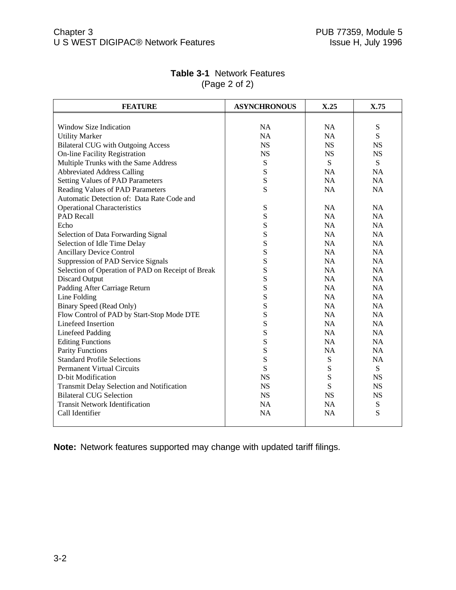| <b>FEATURE</b>                                    | <b>ASYNCHRONOUS</b> | X.25      | X.75      |
|---------------------------------------------------|---------------------|-----------|-----------|
|                                                   |                     |           |           |
| Window Size Indication                            | <b>NA</b>           | <b>NA</b> | ${\bf S}$ |
| <b>Utility Marker</b>                             | <b>NA</b>           | <b>NA</b> | S         |
| <b>Bilateral CUG</b> with Outgoing Access         | <b>NS</b>           | <b>NS</b> | <b>NS</b> |
| <b>On-line Facility Registration</b>              | <b>NS</b>           | <b>NS</b> | <b>NS</b> |
| Multiple Trunks with the Same Address             | S                   | S         | S         |
| <b>Abbreviated Address Calling</b>                | S                   | NA        | <b>NA</b> |
| <b>Setting Values of PAD Parameters</b>           | ${\bf S}$           | NA        | <b>NA</b> |
| Reading Values of PAD Parameters                  | S                   | <b>NA</b> | <b>NA</b> |
| Automatic Detection of: Data Rate Code and        |                     |           |           |
| <b>Operational Characteristics</b>                | ${\bf S}$           | NA        | NA        |
| <b>PAD Recall</b>                                 | S                   | <b>NA</b> | <b>NA</b> |
| Echo                                              | S                   | <b>NA</b> | <b>NA</b> |
| Selection of Data Forwarding Signal               | S                   | NA        | <b>NA</b> |
| Selection of Idle Time Delay                      | S                   | NA        | <b>NA</b> |
| <b>Ancillary Device Control</b>                   | S                   | <b>NA</b> | <b>NA</b> |
| Suppression of PAD Service Signals                | S                   | <b>NA</b> | <b>NA</b> |
| Selection of Operation of PAD on Receipt of Break | S                   | NA        | NA        |
| <b>Discard Output</b>                             | S                   | NA        | NA        |
| Padding After Carriage Return                     | S                   | <b>NA</b> | <b>NA</b> |
| Line Folding                                      | S                   | NA        | <b>NA</b> |
| <b>Binary Speed (Read Only)</b>                   | S                   | NA        | NA        |
| Flow Control of PAD by Start-Stop Mode DTE        | S                   | NA        | <b>NA</b> |
| Linefeed Insertion                                | S                   | NA        | NA        |
| <b>Linefeed Padding</b>                           | S                   | NA        | NA        |
| <b>Editing Functions</b>                          | S                   | <b>NA</b> | <b>NA</b> |
| <b>Parity Functions</b>                           | S                   | NA        | NA        |
| <b>Standard Profile Selections</b>                | S                   | ${\bf S}$ | <b>NA</b> |
| <b>Permanent Virtual Circuits</b>                 | S                   | ${\bf S}$ | ${\bf S}$ |
| D-bit Modification                                | <b>NS</b>           | S         | <b>NS</b> |
| Transmit Delay Selection and Notification         | <b>NS</b>           | S         | <b>NS</b> |
| <b>Bilateral CUG Selection</b>                    | <b>NS</b>           | <b>NS</b> | <b>NS</b> |
| <b>Transit Network Identification</b>             | <b>NA</b>           | <b>NA</b> | ${\bf S}$ |
| Call Identifier                                   | <b>NA</b>           | <b>NA</b> | S         |
|                                                   |                     |           |           |

### **Table 3-1** Network Features (Page 2 of 2)

**Note:** Network features supported may change with updated tariff filings.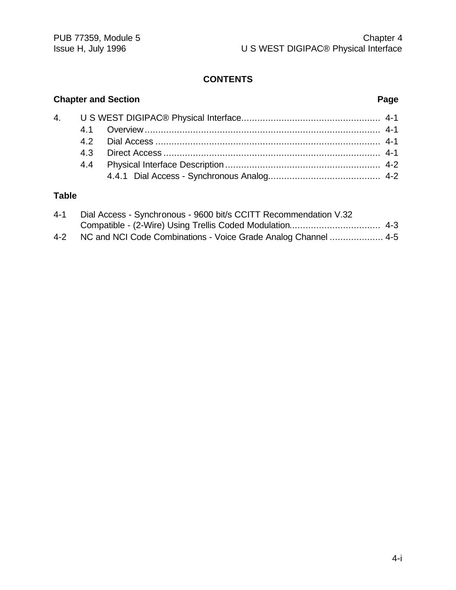### **CONTENTS**

# **Chapter and Section Page** 4. U S WEST DIGIPAC® Physical Interface.................................................... 4-1 4.1 Overview........................................................................................ 4-1 4.2 Dial Access .................................................................................... 4-1 4.3 Direct Access ................................................................................. 4-1 4.4 Physical Interface Description .......................................................... 4-2 4.4.1 Dial Access - Synchronous Analog.......................................... 4-2

### **Table**

| $4 - 1$ | Dial Access - Synchronous - 9600 bit/s CCITT Recommendation V.32 |  |
|---------|------------------------------------------------------------------|--|
|         |                                                                  |  |
| $4 - 2$ | NC and NCI Code Combinations - Voice Grade Analog Channel  4-5   |  |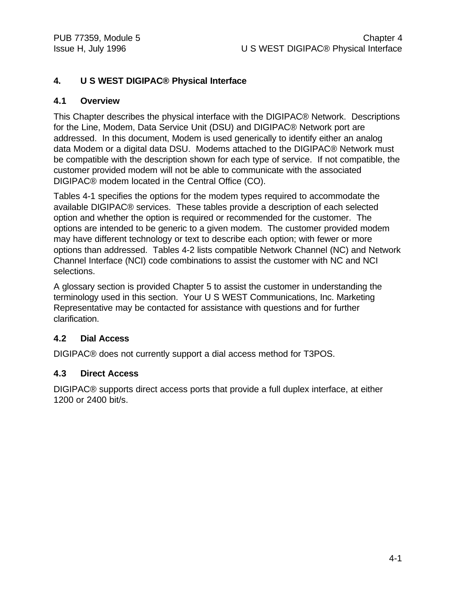### **4. U S WEST DIGIPAC® Physical Interface**

### **4.1 Overview**

This Chapter describes the physical interface with the DIGIPAC® Network. Descriptions for the Line, Modem, Data Service Unit (DSU) and DIGIPAC® Network port are addressed. In this document, Modem is used generically to identify either an analog data Modem or a digital data DSU. Modems attached to the DIGIPAC® Network must be compatible with the description shown for each type of service. If not compatible, the customer provided modem will not be able to communicate with the associated DIGIPAC® modem located in the Central Office (CO).

Tables 4-1 specifies the options for the modem types required to accommodate the available DIGIPAC® services. These tables provide a description of each selected option and whether the option is required or recommended for the customer. The options are intended to be generic to a given modem. The customer provided modem may have different technology or text to describe each option; with fewer or more options than addressed. Tables 4-2 lists compatible Network Channel (NC) and Network Channel Interface (NCI) code combinations to assist the customer with NC and NCI selections.

A glossary section is provided Chapter 5 to assist the customer in understanding the terminology used in this section. Your U S WEST Communications, Inc. Marketing Representative may be contacted for assistance with questions and for further clarification.

### **4.2 Dial Access**

DIGIPAC® does not currently support a dial access method for T3POS.

### **4.3 Direct Access**

DIGIPAC® supports direct access ports that provide a full duplex interface, at either 1200 or 2400 bit/s.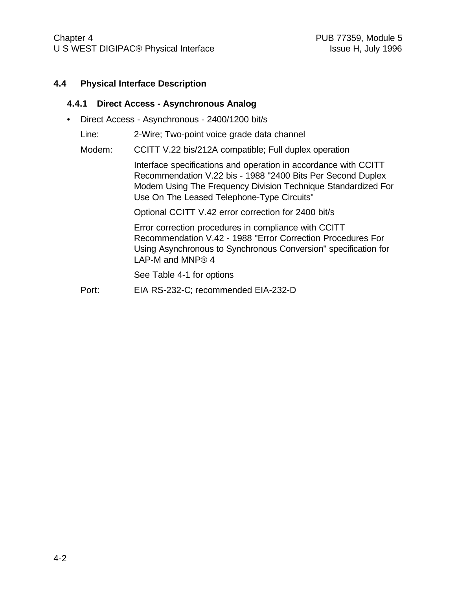#### **4.4 Physical Interface Description**

#### **4.4.1 Direct Access - Asynchronous Analog**

• Direct Access - Asynchronous - 2400/1200 bit/s

Line: 2-Wire; Two-point voice grade data channel

Modem: CCITT V.22 bis/212A compatible; Full duplex operation

Interface specifications and operation in accordance with CCITT Recommendation V.22 bis - 1988 "2400 Bits Per Second Duplex Modem Using The Frequency Division Technique Standardized For Use On The Leased Telephone-Type Circuits"

Optional CCITT V.42 error correction for 2400 bit/s

Error correction procedures in compliance with CCITT Recommendation V.42 - 1988 "Error Correction Procedures For Using Asynchronous to Synchronous Conversion" specification for LAP-M and MNP® 4

See Table 4-1 for options

Port: EIA RS-232-C; recommended EIA-232-D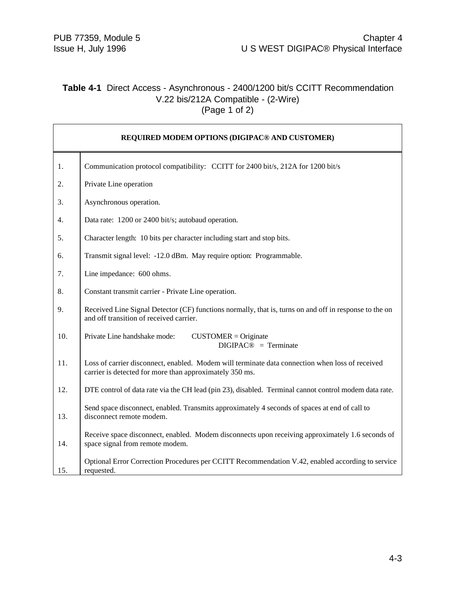### **Table 4-1** Direct Access - Asynchronous - 2400/1200 bit/s CCITT Recommendation V.22 bis/212A Compatible - (2-Wire)  $(Page 1 of 2)$

| REQUIRED MODEM OPTIONS (DIGIPAC® AND CUSTOMER) |                                                                                                                                                            |
|------------------------------------------------|------------------------------------------------------------------------------------------------------------------------------------------------------------|
| 1.                                             | Communication protocol compatibility: CCITT for 2400 bit/s, 212A for 1200 bit/s                                                                            |
| 2.                                             | Private Line operation                                                                                                                                     |
| 3.                                             | Asynchronous operation.                                                                                                                                    |
| 4.                                             | Data rate: 1200 or 2400 bit/s; autobaud operation.                                                                                                         |
| 5.                                             | Character length: 10 bits per character including start and stop bits.                                                                                     |
| 6.                                             | Transmit signal level: -12.0 dBm. May require option: Programmable.                                                                                        |
| 7.                                             | Line impedance: 600 ohms.                                                                                                                                  |
| 8.                                             | Constant transmit carrier - Private Line operation.                                                                                                        |
| 9.                                             | Received Line Signal Detector (CF) functions normally, that is, turns on and off in response to the on<br>and off transition of received carrier.          |
| 10.                                            | Private Line handshake mode:<br>$CUSTOMER = Originate$<br>$DIGIPAC@ = Terminate$                                                                           |
| 11.                                            | Loss of carrier disconnect, enabled. Modem will terminate data connection when loss of received<br>carrier is detected for more than approximately 350 ms. |
| 12.                                            | DTE control of data rate via the CH lead (pin 23), disabled. Terminal cannot control modem data rate.                                                      |
| 13.                                            | Send space disconnect, enabled. Transmits approximately 4 seconds of spaces at end of call to<br>disconnect remote modem.                                  |
| 14.                                            | Receive space disconnect, enabled. Modem disconnects upon receiving approximately 1.6 seconds of<br>space signal from remote modem.                        |
| 15.                                            | Optional Error Correction Procedures per CCITT Recommendation V.42, enabled according to service<br>requested.                                             |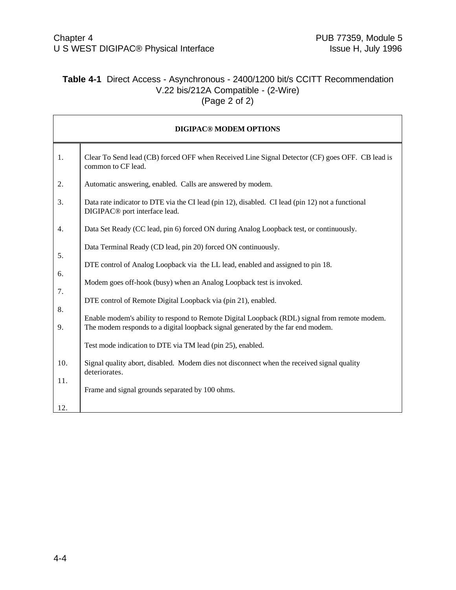# **Table 4-1** Direct Access - Asynchronous - 2400/1200 bit/s CCITT Recommendation V.22 bis/212A Compatible - (2-Wire) (Page 2 of 2)

| <b>DIGIPAC® MODEM OPTIONS</b> |                                                                                                                                                                                 |  |  |
|-------------------------------|---------------------------------------------------------------------------------------------------------------------------------------------------------------------------------|--|--|
| 1.                            | Clear To Send lead (CB) forced OFF when Received Line Signal Detector (CF) goes OFF. CB lead is<br>common to CF lead.                                                           |  |  |
| 2.                            | Automatic answering, enabled. Calls are answered by modem.                                                                                                                      |  |  |
| 3.                            | Data rate indicator to DTE via the CI lead (pin 12), disabled. CI lead (pin 12) not a functional<br>DIGIPAC <sup>®</sup> port interface lead.                                   |  |  |
| 4.                            | Data Set Ready (CC lead, pin 6) forced ON during Analog Loopback test, or continuously.                                                                                         |  |  |
|                               | Data Terminal Ready (CD lead, pin 20) forced ON continuously.                                                                                                                   |  |  |
| 5.                            | DTE control of Analog Loopback via the LL lead, enabled and assigned to pin 18.                                                                                                 |  |  |
| 6.                            | Modem goes off-hook (busy) when an Analog Loopback test is invoked.                                                                                                             |  |  |
| 7.                            | DTE control of Remote Digital Loopback via (pin 21), enabled.                                                                                                                   |  |  |
| 8.<br>9.                      | Enable modem's ability to respond to Remote Digital Loopback (RDL) signal from remote modem.<br>The modem responds to a digital loopback signal generated by the far end modem. |  |  |
|                               | Test mode indication to DTE via TM lead (pin 25), enabled.                                                                                                                      |  |  |
| 10.                           | Signal quality abort, disabled. Modem dies not disconnect when the received signal quality<br>deteriorates.                                                                     |  |  |
| 11.                           | Frame and signal grounds separated by 100 ohms.                                                                                                                                 |  |  |
| 12.                           |                                                                                                                                                                                 |  |  |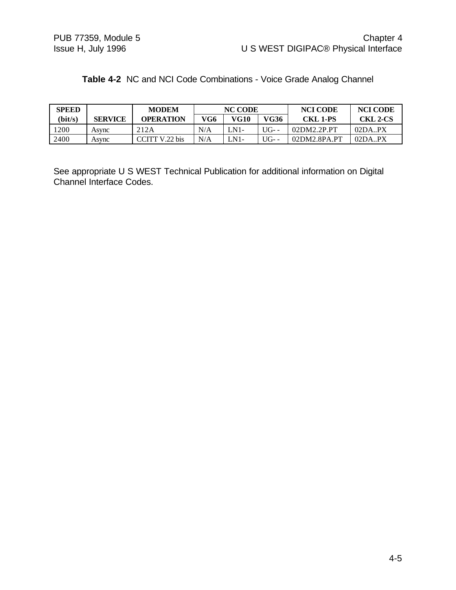| <b>SPEED</b> |                | <b>MODEM</b>     | <b>NC CODE</b> |        | <b>NCI CODE</b> | <b>NCI CODE</b> |                 |
|--------------|----------------|------------------|----------------|--------|-----------------|-----------------|-----------------|
| (bit/s)      | <b>SERVICE</b> | <b>OPERATION</b> | VG6            | VG10   | VG36            | <b>CKL 1-PS</b> | <b>CKL 2-CS</b> |
| 1200         | Asvnc          | 212A             | N/A            | $LN1-$ | UG- $-$         | 02DM2.2P.PT     | 02DA.PX         |
| 2400         | Asvnc          | CITT V.22 bis    | N/A            | $LM1-$ | $U[G-$          | 02DM2.8PA.PT    | 02DA.PX         |

|  |  |  |  |  | Table 4-2 NC and NCI Code Combinations - Voice Grade Analog Channel |
|--|--|--|--|--|---------------------------------------------------------------------|
|--|--|--|--|--|---------------------------------------------------------------------|

See appropriate U S WEST Technical Publication for additional information on Digital Channel Interface Codes.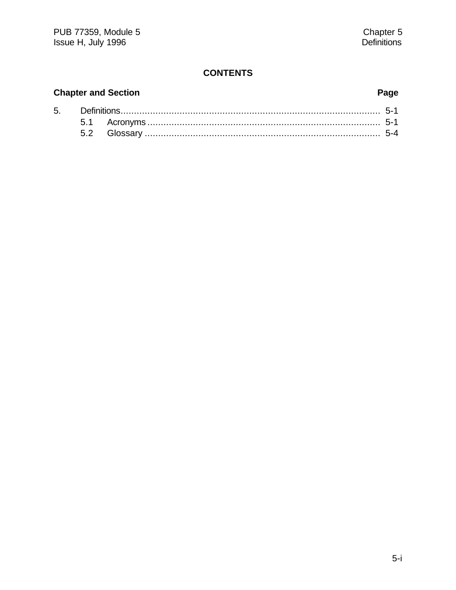# **CONTENTS**

# **Chapter and Section**

5.

# Page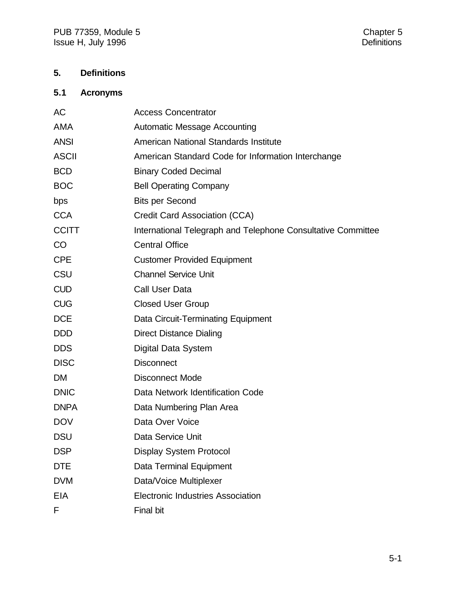# **5. Definitions**

# **5.1 Acronyms**

| AC           | <b>Access Concentrator</b>                                   |
|--------------|--------------------------------------------------------------|
| <b>AMA</b>   | <b>Automatic Message Accounting</b>                          |
| <b>ANSI</b>  | American National Standards Institute                        |
| <b>ASCII</b> | American Standard Code for Information Interchange           |
| <b>BCD</b>   | <b>Binary Coded Decimal</b>                                  |
| <b>BOC</b>   | <b>Bell Operating Company</b>                                |
| bps          | <b>Bits per Second</b>                                       |
| <b>CCA</b>   | Credit Card Association (CCA)                                |
| <b>CCITT</b> | International Telegraph and Telephone Consultative Committee |
| CO           | <b>Central Office</b>                                        |
| <b>CPE</b>   | <b>Customer Provided Equipment</b>                           |
| CSU          | <b>Channel Service Unit</b>                                  |
| <b>CUD</b>   | <b>Call User Data</b>                                        |
| <b>CUG</b>   | <b>Closed User Group</b>                                     |
| <b>DCE</b>   | Data Circuit-Terminating Equipment                           |
| <b>DDD</b>   | <b>Direct Distance Dialing</b>                               |
| <b>DDS</b>   | Digital Data System                                          |
| <b>DISC</b>  | <b>Disconnect</b>                                            |
| <b>DM</b>    | <b>Disconnect Mode</b>                                       |
| <b>DNIC</b>  | Data Network Identification Code                             |
| <b>DNPA</b>  | Data Numbering Plan Area                                     |
| <b>DOV</b>   | Data Over Voice                                              |
| <b>DSU</b>   | Data Service Unit                                            |
| <b>DSP</b>   | <b>Display System Protocol</b>                               |
| <b>DTE</b>   | Data Terminal Equipment                                      |
| <b>DVM</b>   | Data/Voice Multiplexer                                       |
| <b>EIA</b>   | <b>Electronic Industries Association</b>                     |
| F            | Final bit                                                    |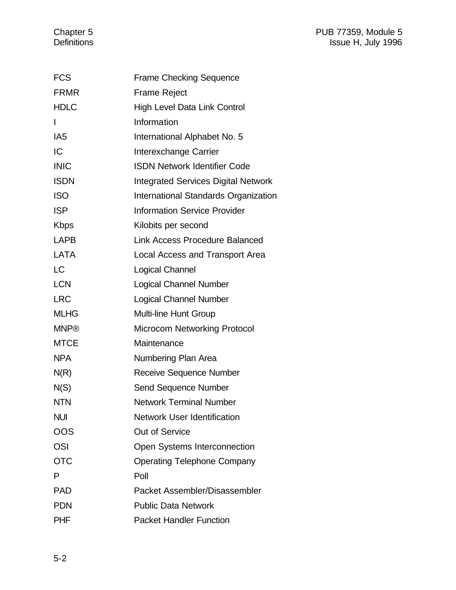#### Chapter 5 **PUB 77359, Module 5** Definitions Issue H, July 1996

| <b>FCS</b>      | <b>Frame Checking Sequence</b>             |
|-----------------|--------------------------------------------|
| <b>FRMR</b>     | <b>Frame Reject</b>                        |
| <b>HDLC</b>     | <b>High Level Data Link Control</b>        |
| I               | Information                                |
| IA <sub>5</sub> | International Alphabet No. 5               |
| IC              | Interexchange Carrier                      |
| <b>INIC</b>     | <b>ISDN Network Identifier Code</b>        |
| <b>ISDN</b>     | <b>Integrated Services Digital Network</b> |
| <b>ISO</b>      | International Standards Organization       |
| <b>ISP</b>      | <b>Information Service Provider</b>        |
| <b>Kbps</b>     | Kilobits per second                        |
| <b>LAPB</b>     | <b>Link Access Procedure Balanced</b>      |
| LATA            | Local Access and Transport Area            |
| <b>LC</b>       | Logical Channel                            |
| <b>LCN</b>      | <b>Logical Channel Number</b>              |
| <b>LRC</b>      | <b>Logical Channel Number</b>              |
| <b>MLHG</b>     | <b>Multi-line Hunt Group</b>               |
| <b>MNP®</b>     | <b>Microcom Networking Protocol</b>        |
| <b>MTCE</b>     | Maintenance                                |
| <b>NPA</b>      | Numbering Plan Area                        |
| N(R)            | <b>Receive Sequence Number</b>             |
| N(S)            | Send Sequence Number                       |
| <b>NTN</b>      | <b>Network Terminal Number</b>             |
| <b>NUI</b>      | <b>Network User Identification</b>         |
| OOS             | <b>Out of Service</b>                      |
| <b>OSI</b>      | Open Systems Interconnection               |
| <b>OTC</b>      | <b>Operating Telephone Company</b>         |
| P               | Poll                                       |
| <b>PAD</b>      | Packet Assembler/Disassembler              |
| <b>PDN</b>      | <b>Public Data Network</b>                 |
| <b>PHF</b>      | <b>Packet Handler Function</b>             |
|                 |                                            |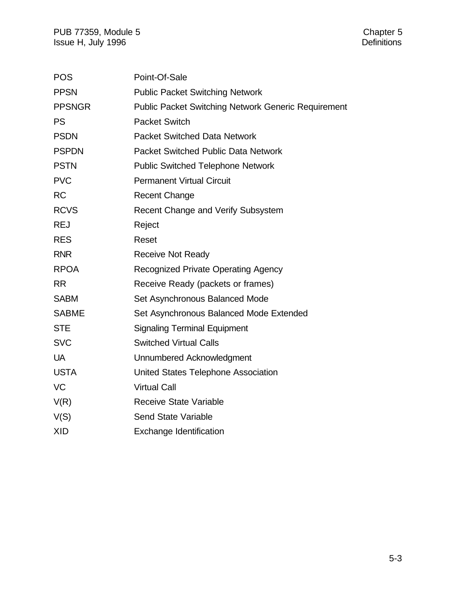| <b>POS</b>    | Point-Of-Sale                                              |
|---------------|------------------------------------------------------------|
| <b>PPSN</b>   | <b>Public Packet Switching Network</b>                     |
| <b>PPSNGR</b> | <b>Public Packet Switching Network Generic Requirement</b> |
| <b>PS</b>     | <b>Packet Switch</b>                                       |
| <b>PSDN</b>   | <b>Packet Switched Data Network</b>                        |
| <b>PSPDN</b>  | <b>Packet Switched Public Data Network</b>                 |
| <b>PSTN</b>   | <b>Public Switched Telephone Network</b>                   |
| <b>PVC</b>    | <b>Permanent Virtual Circuit</b>                           |
| <b>RC</b>     | <b>Recent Change</b>                                       |
| <b>RCVS</b>   | Recent Change and Verify Subsystem                         |
| <b>REJ</b>    | Reject                                                     |
| <b>RES</b>    | Reset                                                      |
| <b>RNR</b>    | <b>Receive Not Ready</b>                                   |
| <b>RPOA</b>   | <b>Recognized Private Operating Agency</b>                 |
| <b>RR</b>     | Receive Ready (packets or frames)                          |
| <b>SABM</b>   | Set Asynchronous Balanced Mode                             |
| <b>SABME</b>  | Set Asynchronous Balanced Mode Extended                    |
| <b>STE</b>    | <b>Signaling Terminal Equipment</b>                        |
| <b>SVC</b>    | <b>Switched Virtual Calls</b>                              |
| <b>UA</b>     | Unnumbered Acknowledgment                                  |
| <b>USTA</b>   | United States Telephone Association                        |
| <b>VC</b>     | <b>Virtual Call</b>                                        |
| V(R)          | <b>Receive State Variable</b>                              |
| V(S)          | <b>Send State Variable</b>                                 |
| <b>XID</b>    | <b>Exchange Identification</b>                             |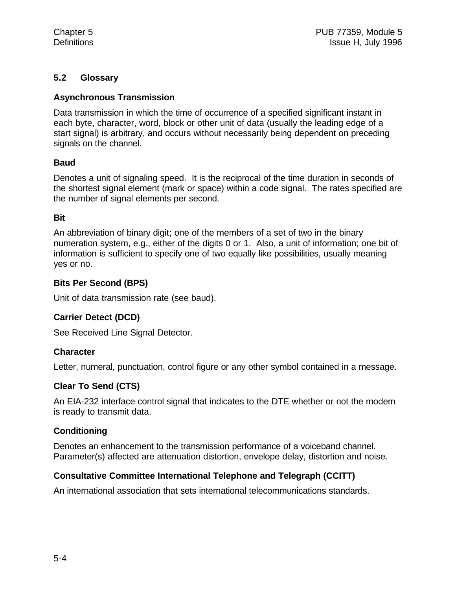# **5.2 Glossary**

### **Asynchronous Transmission**

Data transmission in which the time of occurrence of a specified significant instant in each byte, character, word, block or other unit of data (usually the leading edge of a start signal) is arbitrary, and occurs without necessarily being dependent on preceding signals on the channel.

## **Baud**

Denotes a unit of signaling speed. It is the reciprocal of the time duration in seconds of the shortest signal element (mark or space) within a code signal. The rates specified are the number of signal elements per second.

#### **Bit**

An abbreviation of binary digit; one of the members of a set of two in the binary numeration system, e.g., either of the digits 0 or 1. Also, a unit of information; one bit of information is sufficient to specify one of two equally like possibilities, usually meaning yes or no.

## **Bits Per Second (BPS)**

Unit of data transmission rate (see baud).

# **Carrier Detect (DCD)**

See Received Line Signal Detector.

#### **Character**

Letter, numeral, punctuation, control figure or any other symbol contained in a message.

# **Clear To Send (CTS)**

An EIA-232 interface control signal that indicates to the DTE whether or not the modem is ready to transmit data.

#### **Conditioning**

Denotes an enhancement to the transmission performance of a voiceband channel. Parameter(s) affected are attenuation distortion, envelope delay, distortion and noise.

# **Consultative Committee International Telephone and Telegraph (CCITT)**

An international association that sets international telecommunications standards.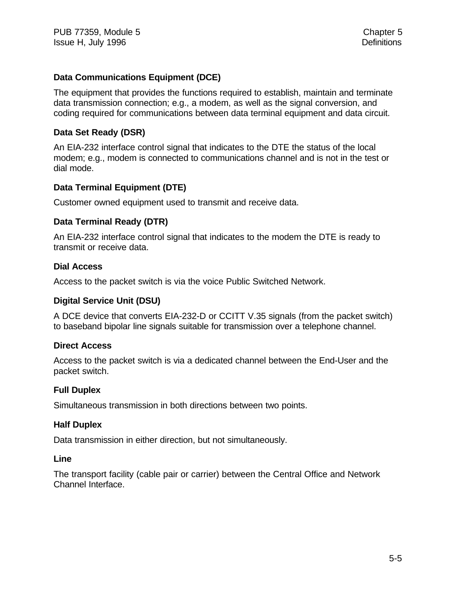### **Data Communications Equipment (DCE)**

The equipment that provides the functions required to establish, maintain and terminate data transmission connection; e.g., a modem, as well as the signal conversion, and coding required for communications between data terminal equipment and data circuit.

### **Data Set Ready (DSR)**

An EIA-232 interface control signal that indicates to the DTE the status of the local modem; e.g., modem is connected to communications channel and is not in the test or dial mode.

## **Data Terminal Equipment (DTE)**

Customer owned equipment used to transmit and receive data.

#### **Data Terminal Ready (DTR)**

An EIA-232 interface control signal that indicates to the modem the DTE is ready to transmit or receive data.

#### **Dial Access**

Access to the packet switch is via the voice Public Switched Network.

#### **Digital Service Unit (DSU)**

A DCE device that converts EIA-232-D or CCITT V.35 signals (from the packet switch) to baseband bipolar line signals suitable for transmission over a telephone channel.

#### **Direct Access**

Access to the packet switch is via a dedicated channel between the End-User and the packet switch.

#### **Full Duplex**

Simultaneous transmission in both directions between two points.

#### **Half Duplex**

Data transmission in either direction, but not simultaneously.

#### **Line**

The transport facility (cable pair or carrier) between the Central Office and Network Channel Interface.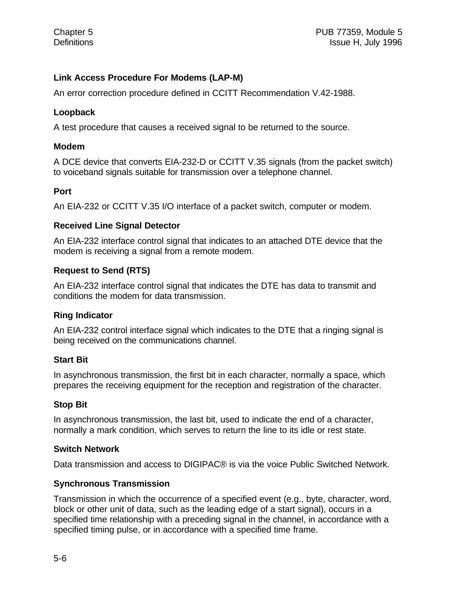# **Link Access Procedure For Modems (LAP-M)**

An error correction procedure defined in CCITT Recommendation V.42-1988.

# **Loopback**

A test procedure that causes a received signal to be returned to the source.

## **Modem**

A DCE device that converts EIA-232-D or CCITT V.35 signals (from the packet switch) to voiceband signals suitable for transmission over a telephone channel.

## **Port**

An EIA-232 or CCITT V.35 I/O interface of a packet switch, computer or modem.

## **Received Line Signal Detector**

An EIA-232 interface control signal that indicates to an attached DTE device that the modem is receiving a signal from a remote modem.

# **Request to Send (RTS)**

An EIA-232 interface control signal that indicates the DTE has data to transmit and conditions the modem for data transmission.

# **Ring Indicator**

An EIA-232 control interface signal which indicates to the DTE that a ringing signal is being received on the communications channel.

# **Start Bit**

In asynchronous transmission, the first bit in each character, normally a space, which prepares the receiving equipment for the reception and registration of the character.

# **Stop Bit**

In asynchronous transmission, the last bit, used to indicate the end of a character, normally a mark condition, which serves to return the line to its idle or rest state.

#### **Switch Network**

Data transmission and access to DIGIPAC® is via the voice Public Switched Network.

# **Synchronous Transmission**

Transmission in which the occurrence of a specified event (e.g., byte, character, word, block or other unit of data, such as the leading edge of a start signal), occurs in a specified time relationship with a preceding signal in the channel, in accordance with a specified timing pulse, or in accordance with a specified time frame.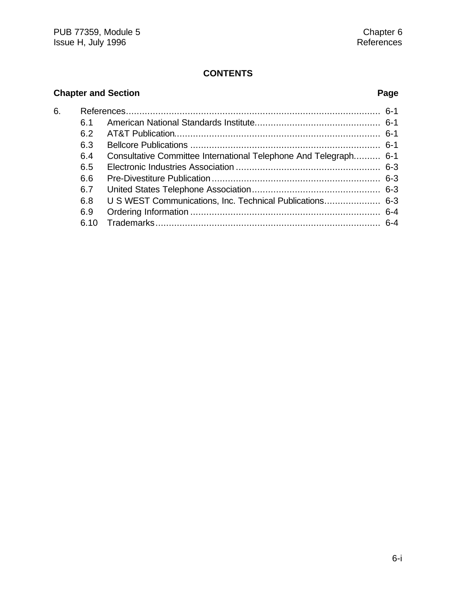# **CONTENTS**

# **Chapter and Section Page**

| 6. |      |                                                                  |  |
|----|------|------------------------------------------------------------------|--|
|    | 6.1  |                                                                  |  |
|    | 6.2  |                                                                  |  |
|    | 6.3  |                                                                  |  |
|    | 6.4  | Consultative Committee International Telephone And Telegraph 6-1 |  |
|    | 6.5  |                                                                  |  |
|    | 6.6  |                                                                  |  |
|    | 6.7  |                                                                  |  |
|    | 6.8  | U S WEST Communications, Inc. Technical Publications 6-3         |  |
|    | 6.9  |                                                                  |  |
|    | 6.10 |                                                                  |  |
|    |      |                                                                  |  |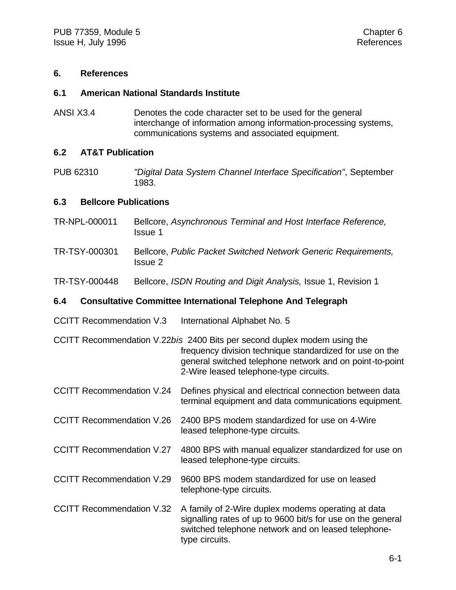#### **6. References**

#### **6.1 American National Standards Institute**

ANSI X3.4 Denotes the code character set to be used for the general interchange of information among information-processing systems, communications systems and associated equipment.

#### **6.2 AT&T Publication**

PUB 62310 *"Digital Data System Channel Interface Specification"*, September 1983.

#### **6.3 Bellcore Publications**

- TR-NPL-000011 Bellcore, *Asynchronous Terminal and Host Interface Reference,* Issue 1
- TR-TSY-000301 Bellcore, *Public Packet Switched Network Generic Requirements,* Issue 2
- TR-TSY-000448 Bellcore, *ISDN Routing and Digit Analysis,* Issue 1, Revision 1

#### **6.4 Consultative Committee International Telephone And Telegraph**

- CCITT Recommendation V.3 International Alphabet No. 5
- CCITT Recommendation V.22*bis* 2400 Bits per second duplex modem using the frequency division technique standardized for use on the general switched telephone network and on point-to-point 2-Wire leased telephone-type circuits.
- CCITT Recommendation V.24 Defines physical and electrical connection between data terminal equipment and data communications equipment.
- CCITT Recommendation V.26 2400 BPS modem standardized for use on 4-Wire leased telephone-type circuits.
- CCITT Recommendation V.27 4800 BPS with manual equalizer standardized for use on leased telephone-type circuits.
- CCITT Recommendation V.29 9600 BPS modem standardized for use on leased telephone-type circuits.
- CCITT Recommendation V.32 A family of 2-Wire duplex modems operating at data signalling rates of up to 9600 bit/s for use on the general switched telephone network and on leased telephonetype circuits.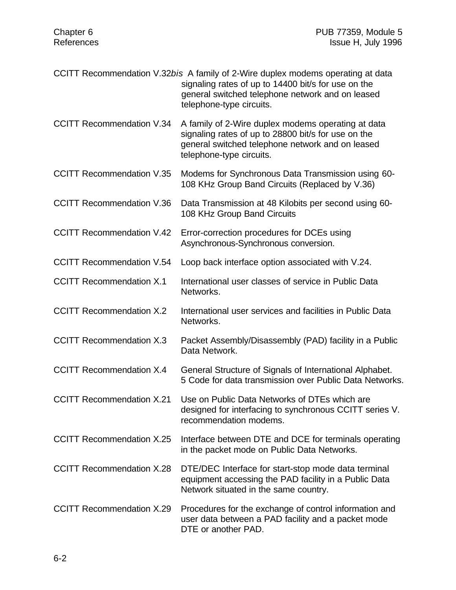| CCITT Recommendation V.32bis A family of 2-Wire duplex modems operating at data |
|---------------------------------------------------------------------------------|
| signaling rates of up to 14400 bit/s for use on the                             |
| general switched telephone network and on leased                                |
| telephone-type circuits.                                                        |

CCITT Recommendation V.34 A family of 2-Wire duplex modems operating at data signaling rates of up to 28800 bit/s for use on the general switched telephone network and on leased telephone-type circuits.

CCITT Recommendation V.35 Modems for Synchronous Data Transmission using 60- 108 KHz Group Band Circuits (Replaced by V.36)

CCITT Recommendation V.36 Data Transmission at 48 Kilobits per second using 60- 108 KHz Group Band Circuits

CCITT Recommendation V.42 Error-correction procedures for DCEs using Asynchronous-Synchronous conversion.

CCITT Recommendation V.54 Loop back interface option associated with V.24.

- CCITT Recommendation X.1 International user classes of service in Public Data Networks.
- CCITT Recommendation X.2 International user services and facilities in Public Data Networks.
- CCITT Recommendation X.3 Packet Assembly/Disassembly (PAD) facility in a Public Data Network.
- CCITT Recommendation X.4 General Structure of Signals of International Alphabet. 5 Code for data transmission over Public Data Networks.
- CCITT Recommendation X.21 Use on Public Data Networks of DTEs which are designed for interfacing to synchronous CCITT series V. recommendation modems.
- CCITT Recommendation X.25 Interface between DTE and DCE for terminals operating in the packet mode on Public Data Networks.
- CCITT Recommendation X.28 DTE/DEC Interface for start-stop mode data terminal equipment accessing the PAD facility in a Public Data Network situated in the same country.
- CCITT Recommendation X.29 Procedures for the exchange of control information and user data between a PAD facility and a packet mode DTE or another PAD.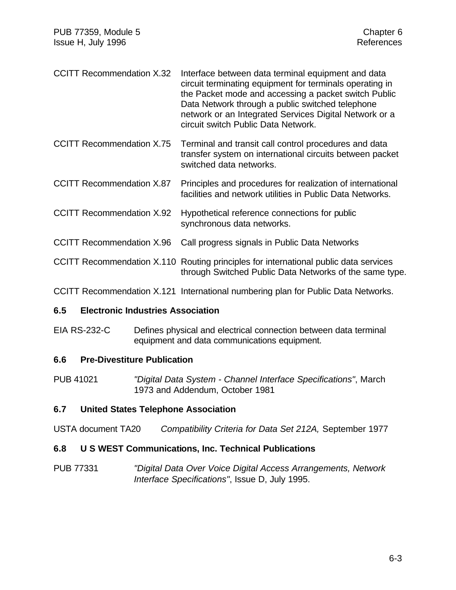| <b>CCITT Recommendation X.32</b> | Interface between data terminal equipment and data<br>circuit terminating equipment for terminals operating in<br>the Packet mode and accessing a packet switch Public<br>Data Network through a public switched telephone |
|----------------------------------|----------------------------------------------------------------------------------------------------------------------------------------------------------------------------------------------------------------------------|
|                                  | network or an Integrated Services Digital Network or a                                                                                                                                                                     |
|                                  | circuit switch Public Data Network.                                                                                                                                                                                        |

CCITT Recommendation X.75 Terminal and transit call control procedures and data transfer system on international circuits between packet switched data networks.

- CCITT Recommendation X.87 Principles and procedures for realization of international facilities and network utilities in Public Data Networks.
- CCITT Recommendation X.92 Hypothetical reference connections for public synchronous data networks.
- CCITT Recommendation X.96 Call progress signals in Public Data Networks
- CCITT Recommendation X.110 Routing principles for international public data services through Switched Public Data Networks of the same type.

CCITT Recommendation X.121 International numbering plan for Public Data Networks.

#### **6.5 Electronic Industries Association**

EIA RS-232-C Defines physical and electrical connection between data terminal equipment and data communications equipment.

# **6.6 Pre-Divestiture Publication**

PUB 41021 *"Digital Data System - Channel Interface Specifications"*, March 1973 and Addendum, October 1981

# **6.7 United States Telephone Association**

USTA document TA20 *Compatibility Criteria for Data Set 212A,* September 1977

# **6.8 U S WEST Communications, Inc. Technical Publications**

PUB 77331 *"Digital Data Over Voice Digital Access Arrangements, Network Interface Specifications"*, Issue D, July 1995.